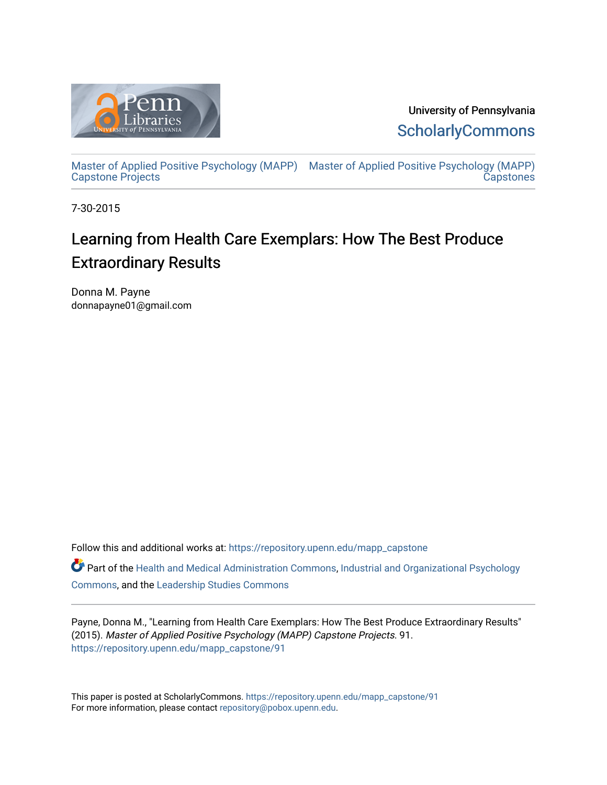

University of Pennsylvania **ScholarlyCommons** 

[Master of Applied Positive Psychology \(MAPP\)](https://repository.upenn.edu/mapp_capstone) [Master of Applied Positive Psychology \(MAPP\)](https://repository.upenn.edu/mapp_capstones)  [Capstone Projects](https://repository.upenn.edu/mapp_capstone)  **Capstones** 

7-30-2015

# Learning from Health Care Exemplars: How The Best Produce Extraordinary Results

Donna M. Payne donnapayne01@gmail.com

Follow this and additional works at: [https://repository.upenn.edu/mapp\\_capstone](https://repository.upenn.edu/mapp_capstone?utm_source=repository.upenn.edu%2Fmapp_capstone%2F91&utm_medium=PDF&utm_campaign=PDFCoverPages) 

Part of the [Health and Medical Administration Commons](http://network.bepress.com/hgg/discipline/663?utm_source=repository.upenn.edu%2Fmapp_capstone%2F91&utm_medium=PDF&utm_campaign=PDFCoverPages), [Industrial and Organizational Psychology](http://network.bepress.com/hgg/discipline/412?utm_source=repository.upenn.edu%2Fmapp_capstone%2F91&utm_medium=PDF&utm_campaign=PDFCoverPages)  [Commons](http://network.bepress.com/hgg/discipline/412?utm_source=repository.upenn.edu%2Fmapp_capstone%2F91&utm_medium=PDF&utm_campaign=PDFCoverPages), and the [Leadership Studies Commons](http://network.bepress.com/hgg/discipline/1250?utm_source=repository.upenn.edu%2Fmapp_capstone%2F91&utm_medium=PDF&utm_campaign=PDFCoverPages) 

Payne, Donna M., "Learning from Health Care Exemplars: How The Best Produce Extraordinary Results" (2015). Master of Applied Positive Psychology (MAPP) Capstone Projects. 91. [https://repository.upenn.edu/mapp\\_capstone/91](https://repository.upenn.edu/mapp_capstone/91?utm_source=repository.upenn.edu%2Fmapp_capstone%2F91&utm_medium=PDF&utm_campaign=PDFCoverPages)

This paper is posted at ScholarlyCommons. [https://repository.upenn.edu/mapp\\_capstone/91](https://repository.upenn.edu/mapp_capstone/91)  For more information, please contact [repository@pobox.upenn.edu.](mailto:repository@pobox.upenn.edu)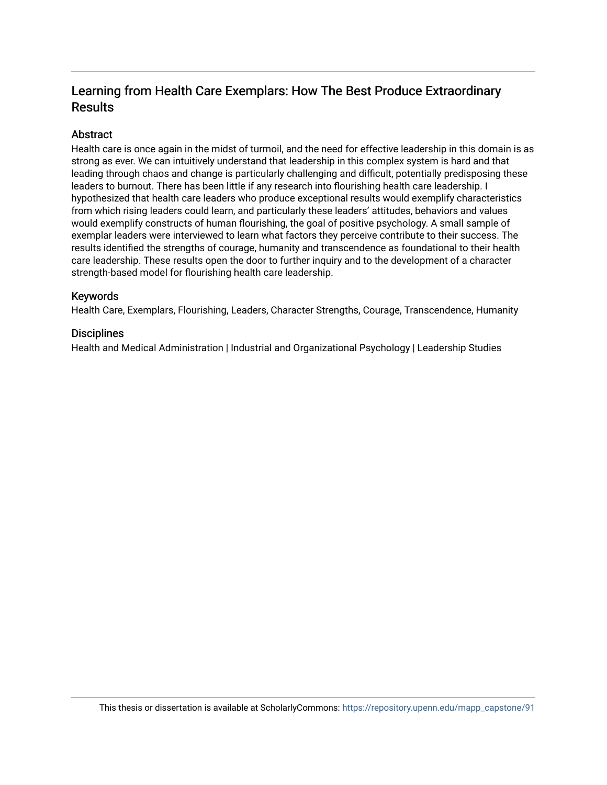## Learning from Health Care Exemplars: How The Best Produce Extraordinary Results

### **Abstract**

Health care is once again in the midst of turmoil, and the need for effective leadership in this domain is as strong as ever. We can intuitively understand that leadership in this complex system is hard and that leading through chaos and change is particularly challenging and difficult, potentially predisposing these leaders to burnout. There has been little if any research into flourishing health care leadership. I hypothesized that health care leaders who produce exceptional results would exemplify characteristics from which rising leaders could learn, and particularly these leaders' attitudes, behaviors and values would exemplify constructs of human flourishing, the goal of positive psychology. A small sample of exemplar leaders were interviewed to learn what factors they perceive contribute to their success. The results identified the strengths of courage, humanity and transcendence as foundational to their health care leadership. These results open the door to further inquiry and to the development of a character strength-based model for flourishing health care leadership.

### Keywords

Health Care, Exemplars, Flourishing, Leaders, Character Strengths, Courage, Transcendence, Humanity

### **Disciplines**

Health and Medical Administration | Industrial and Organizational Psychology | Leadership Studies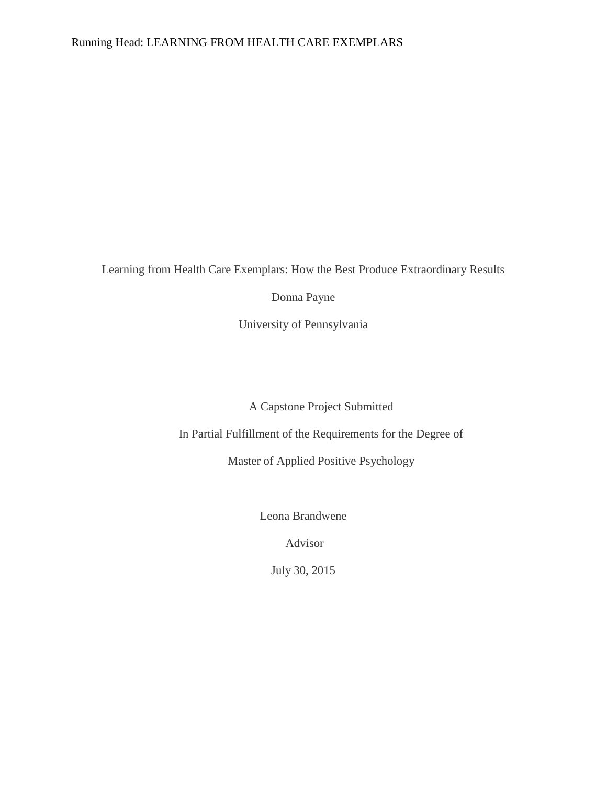### Running Head: LEARNING FROM HEALTH CARE EXEMPLARS

Learning from Health Care Exemplars: How the Best Produce Extraordinary Results

Donna Payne

University of Pennsylvania

A Capstone Project Submitted

In Partial Fulfillment of the Requirements for the Degree of

Master of Applied Positive Psychology

Leona Brandwene

Advisor

July 30, 2015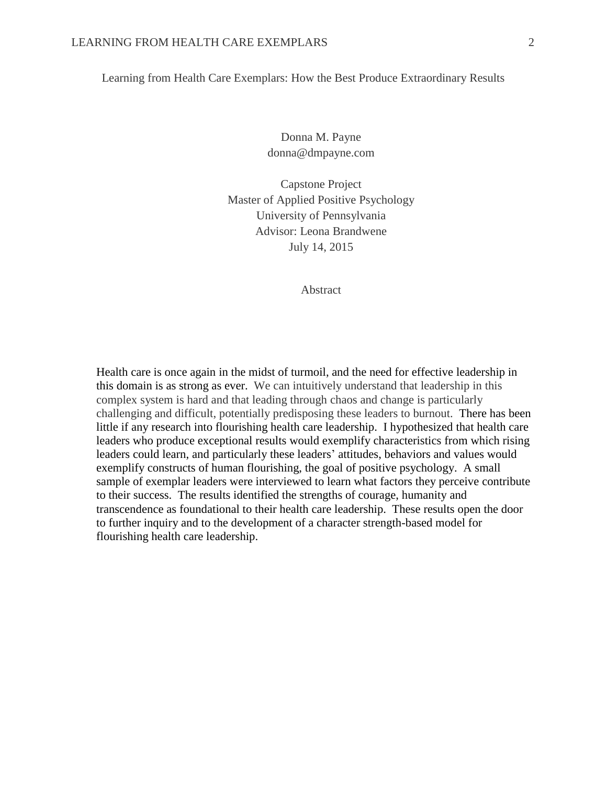Learning from Health Care Exemplars: How the Best Produce Extraordinary Results

Donna M. Payne donna@dmpayne.com

Capstone Project Master of Applied Positive Psychology University of Pennsylvania Advisor: Leona Brandwene July 14, 2015

Abstract

Health care is once again in the midst of turmoil, and the need for effective leadership in this domain is as strong as ever. We can intuitively understand that leadership in this complex system is hard and that leading through chaos and change is particularly challenging and difficult, potentially predisposing these leaders to burnout. There has been little if any research into flourishing health care leadership. I hypothesized that health care leaders who produce exceptional results would exemplify characteristics from which rising leaders could learn, and particularly these leaders' attitudes, behaviors and values would exemplify constructs of human flourishing, the goal of positive psychology. A small sample of exemplar leaders were interviewed to learn what factors they perceive contribute to their success. The results identified the strengths of courage, humanity and transcendence as foundational to their health care leadership. These results open the door to further inquiry and to the development of a character strength-based model for flourishing health care leadership.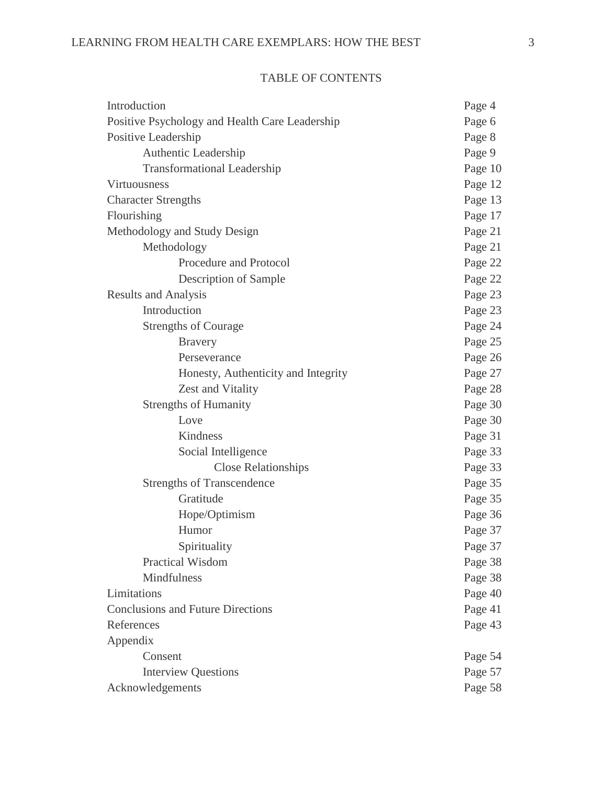| <b>TABLE OF CONTENTS</b> |
|--------------------------|
|                          |

| Introduction                                   | Page 4  |
|------------------------------------------------|---------|
| Positive Psychology and Health Care Leadership | Page 6  |
| Positive Leadership                            | Page 8  |
| Authentic Leadership                           | Page 9  |
| <b>Transformational Leadership</b>             | Page 10 |
| <b>Virtuousness</b>                            | Page 12 |
| <b>Character Strengths</b>                     | Page 13 |
| Flourishing                                    | Page 17 |
| Methodology and Study Design                   | Page 21 |
| Methodology                                    | Page 21 |
| Procedure and Protocol                         | Page 22 |
| Description of Sample                          | Page 22 |
| <b>Results and Analysis</b>                    | Page 23 |
| Introduction                                   | Page 23 |
| <b>Strengths of Courage</b>                    | Page 24 |
| <b>Bravery</b>                                 | Page 25 |
| Perseverance                                   | Page 26 |
| Honesty, Authenticity and Integrity            | Page 27 |
| Zest and Vitality                              | Page 28 |
| <b>Strengths of Humanity</b>                   | Page 30 |
| Love                                           | Page 30 |
| Kindness                                       | Page 31 |
| Social Intelligence                            | Page 33 |
| <b>Close Relationships</b>                     | Page 33 |
| <b>Strengths of Transcendence</b>              | Page 35 |
| Gratitude                                      | Page 35 |
| Hope/Optimism                                  | Page 36 |
| Humor                                          | Page 37 |
| Spirituality                                   | Page 37 |
| Practical Wisdom                               | Page 38 |
| Mindfulness                                    | Page 38 |
| Limitations                                    | Page 40 |
| <b>Conclusions and Future Directions</b>       | Page 41 |
| References                                     | Page 43 |
| Appendix                                       |         |
| Consent                                        | Page 54 |
| <b>Interview Questions</b>                     |         |
| Acknowledgements                               | Page 58 |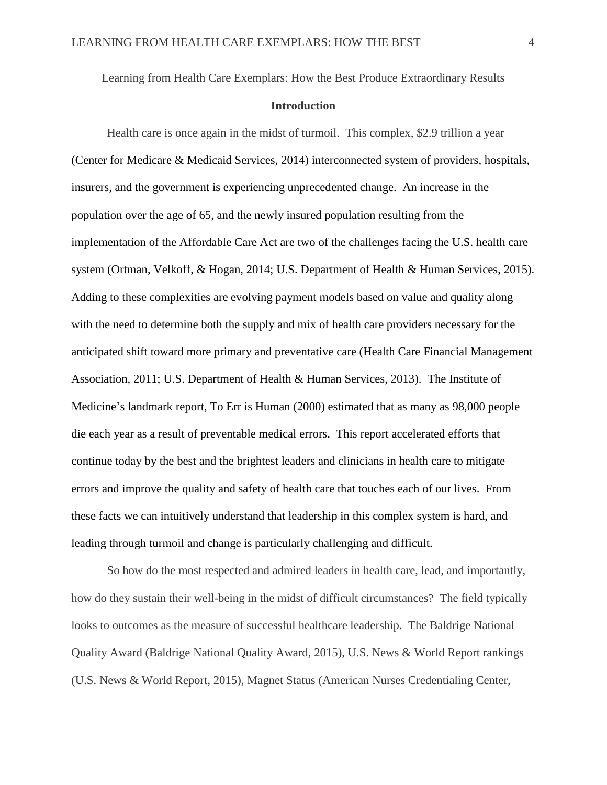Learning from Health Care Exemplars: How the Best Produce Extraordinary Results

### **Introduction**

Health care is once again in the midst of turmoil. This complex, \$2.9 trillion a year (Center for Medicare & Medicaid Services, 2014) interconnected system of providers, hospitals, insurers, and the government is experiencing unprecedented change. An increase in the population over the age of 65, and the newly insured population resulting from the implementation of the Affordable Care Act are two of the challenges facing the U.S. health care system (Ortman, Velkoff, & Hogan, 2014; U.S. Department of Health & Human Services, 2015). Adding to these complexities are evolving payment models based on value and quality along with the need to determine both the supply and mix of health care providers necessary for the anticipated shift toward more primary and preventative care (Health Care Financial Management Association, 2011; U.S. Department of Health & Human Services, 2013). The Institute of Medicine's landmark report, To Err is Human (2000) estimated that as many as 98,000 people die each year as a result of preventable medical errors. This report accelerated efforts that continue today by the best and the brightest leaders and clinicians in health care to mitigate errors and improve the quality and safety of health care that touches each of our lives. From these facts we can intuitively understand that leadership in this complex system is hard, and leading through turmoil and change is particularly challenging and difficult.

So how do the most respected and admired leaders in health care, lead, and importantly, how do they sustain their well-being in the midst of difficult circumstances? The field typically looks to outcomes as the measure of successful healthcare leadership. The Baldrige National Quality Award (Baldrige National Quality Award, 2015), U.S. News & World Report rankings (U.S. News & World Report, 2015), Magnet Status (American Nurses Credentialing Center,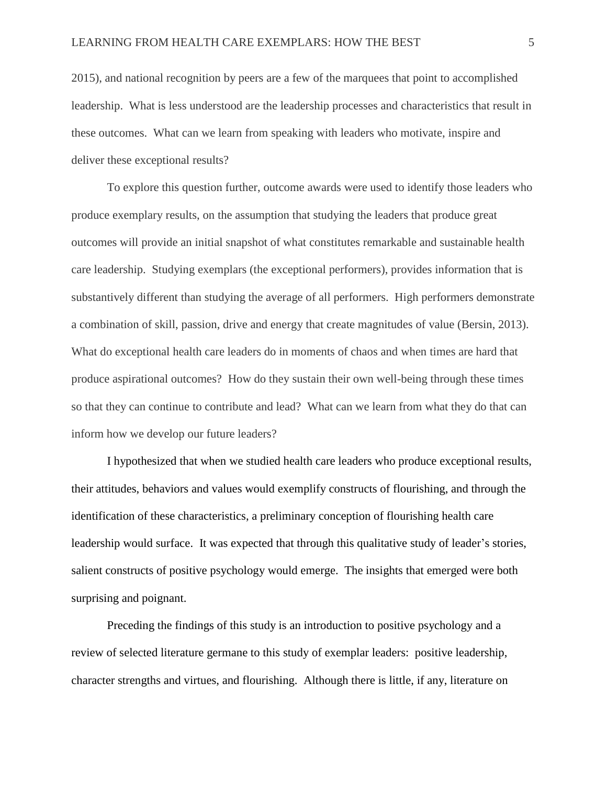2015), and national recognition by peers are a few of the marquees that point to accomplished leadership. What is less understood are the leadership processes and characteristics that result in these outcomes. What can we learn from speaking with leaders who motivate, inspire and deliver these exceptional results?

To explore this question further, outcome awards were used to identify those leaders who produce exemplary results, on the assumption that studying the leaders that produce great outcomes will provide an initial snapshot of what constitutes remarkable and sustainable health care leadership. Studying exemplars (the exceptional performers), provides information that is substantively different than studying the average of all performers. High performers demonstrate a combination of skill, passion, drive and energy that create magnitudes of value (Bersin, 2013). What do exceptional health care leaders do in moments of chaos and when times are hard that produce aspirational outcomes? How do they sustain their own well-being through these times so that they can continue to contribute and lead? What can we learn from what they do that can inform how we develop our future leaders?

I hypothesized that when we studied health care leaders who produce exceptional results, their attitudes, behaviors and values would exemplify constructs of flourishing, and through the identification of these characteristics, a preliminary conception of flourishing health care leadership would surface. It was expected that through this qualitative study of leader's stories, salient constructs of positive psychology would emerge. The insights that emerged were both surprising and poignant.

Preceding the findings of this study is an introduction to positive psychology and a review of selected literature germane to this study of exemplar leaders: positive leadership, character strengths and virtues, and flourishing. Although there is little, if any, literature on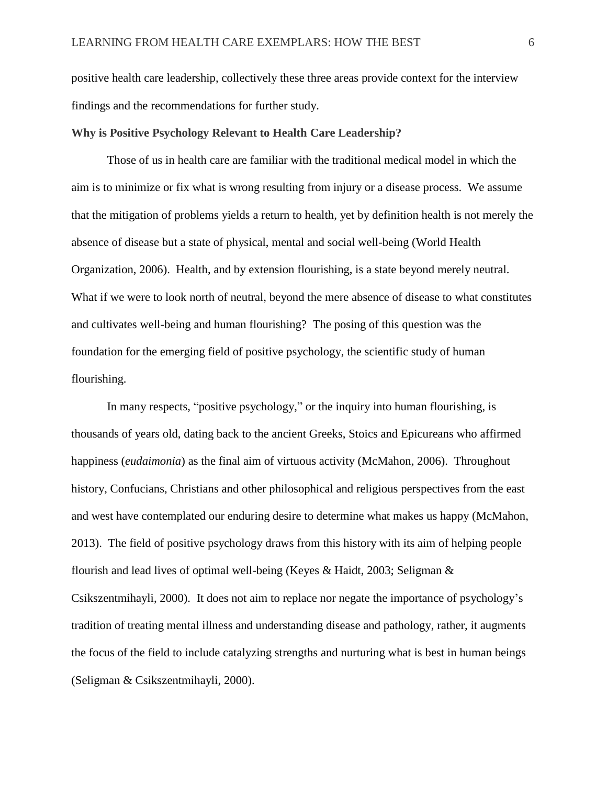positive health care leadership, collectively these three areas provide context for the interview findings and the recommendations for further study.

### **Why is Positive Psychology Relevant to Health Care Leadership?**

Those of us in health care are familiar with the traditional medical model in which the aim is to minimize or fix what is wrong resulting from injury or a disease process. We assume that the mitigation of problems yields a return to health, yet by definition health is not merely the absence of disease but a state of physical, mental and social well-being (World Health Organization, 2006). Health, and by extension flourishing, is a state beyond merely neutral. What if we were to look north of neutral, beyond the mere absence of disease to what constitutes and cultivates well-being and human flourishing? The posing of this question was the foundation for the emerging field of positive psychology, the scientific study of human flourishing.

In many respects, "positive psychology," or the inquiry into human flourishing, is thousands of years old, dating back to the ancient Greeks, Stoics and Epicureans who affirmed happiness (*eudaimonia*) as the final aim of virtuous activity (McMahon, 2006). Throughout history, Confucians, Christians and other philosophical and religious perspectives from the east and west have contemplated our enduring desire to determine what makes us happy (McMahon, 2013). The field of positive psychology draws from this history with its aim of helping people flourish and lead lives of optimal well-being (Keyes & Haidt, 2003; Seligman & Csikszentmihayli, 2000). It does not aim to replace nor negate the importance of psychology's tradition of treating mental illness and understanding disease and pathology, rather, it augments the focus of the field to include catalyzing strengths and nurturing what is best in human beings (Seligman & Csikszentmihayli, 2000).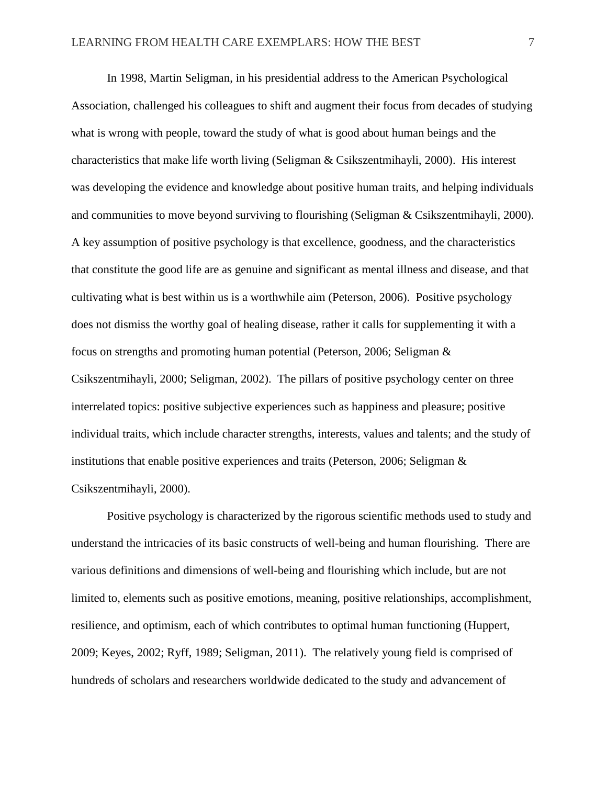In 1998, Martin Seligman, in his presidential address to the American Psychological Association, challenged his colleagues to shift and augment their focus from decades of studying what is wrong with people, toward the study of what is good about human beings and the characteristics that make life worth living (Seligman & Csikszentmihayli, 2000). His interest was developing the evidence and knowledge about positive human traits, and helping individuals and communities to move beyond surviving to flourishing (Seligman & Csikszentmihayli, 2000). A key assumption of positive psychology is that excellence, goodness, and the characteristics that constitute the good life are as genuine and significant as mental illness and disease, and that cultivating what is best within us is a worthwhile aim (Peterson, 2006). Positive psychology does not dismiss the worthy goal of healing disease, rather it calls for supplementing it with a focus on strengths and promoting human potential (Peterson, 2006; Seligman & Csikszentmihayli, 2000; Seligman, 2002). The pillars of positive psychology center on three interrelated topics: positive subjective experiences such as happiness and pleasure; positive individual traits, which include character strengths, interests, values and talents; and the study of institutions that enable positive experiences and traits (Peterson, 2006; Seligman  $\&$ Csikszentmihayli, 2000).

Positive psychology is characterized by the rigorous scientific methods used to study and understand the intricacies of its basic constructs of well-being and human flourishing. There are various definitions and dimensions of well-being and flourishing which include, but are not limited to, elements such as positive emotions, meaning, positive relationships, accomplishment, resilience, and optimism, each of which contributes to optimal human functioning (Huppert, 2009; Keyes, 2002; Ryff, 1989; Seligman, 2011). The relatively young field is comprised of hundreds of scholars and researchers worldwide dedicated to the study and advancement of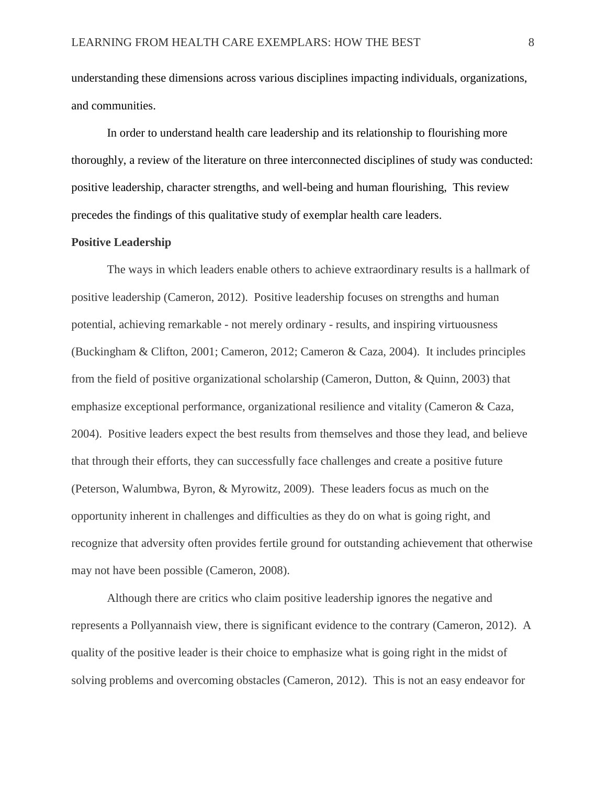understanding these dimensions across various disciplines impacting individuals, organizations, and communities.

In order to understand health care leadership and its relationship to flourishing more thoroughly, a review of the literature on three interconnected disciplines of study was conducted: positive leadership, character strengths, and well-being and human flourishing, This review precedes the findings of this qualitative study of exemplar health care leaders.

#### **Positive Leadership**

The ways in which leaders enable others to achieve extraordinary results is a hallmark of positive leadership (Cameron, 2012). Positive leadership focuses on strengths and human potential, achieving remarkable - not merely ordinary - results, and inspiring virtuousness (Buckingham & Clifton, 2001; Cameron, 2012; Cameron & Caza, 2004). It includes principles from the field of positive organizational scholarship (Cameron, Dutton, & Quinn, 2003) that emphasize exceptional performance, organizational resilience and vitality (Cameron & Caza, 2004). Positive leaders expect the best results from themselves and those they lead, and believe that through their efforts, they can successfully face challenges and create a positive future (Peterson, Walumbwa, Byron, & Myrowitz, 2009). These leaders focus as much on the opportunity inherent in challenges and difficulties as they do on what is going right, and recognize that adversity often provides fertile ground for outstanding achievement that otherwise may not have been possible (Cameron, 2008).

Although there are critics who claim positive leadership ignores the negative and represents a Pollyannaish view, there is significant evidence to the contrary (Cameron, 2012). A quality of the positive leader is their choice to emphasize what is going right in the midst of solving problems and overcoming obstacles (Cameron, 2012). This is not an easy endeavor for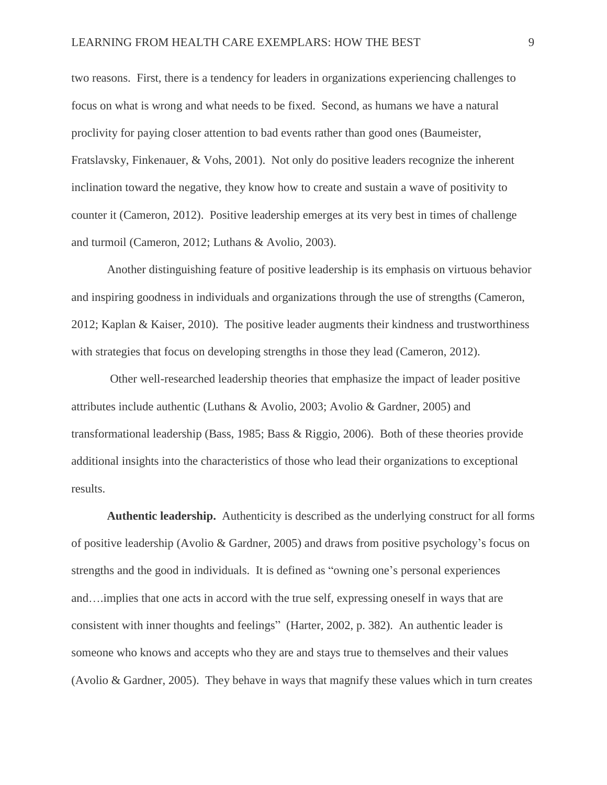two reasons. First, there is a tendency for leaders in organizations experiencing challenges to focus on what is wrong and what needs to be fixed. Second, as humans we have a natural proclivity for paying closer attention to bad events rather than good ones (Baumeister, Fratslavsky, Finkenauer, & Vohs, 2001). Not only do positive leaders recognize the inherent inclination toward the negative, they know how to create and sustain a wave of positivity to counter it (Cameron, 2012). Positive leadership emerges at its very best in times of challenge and turmoil (Cameron, 2012; Luthans & Avolio, 2003).

Another distinguishing feature of positive leadership is its emphasis on virtuous behavior and inspiring goodness in individuals and organizations through the use of strengths (Cameron, 2012; Kaplan & Kaiser, 2010). The positive leader augments their kindness and trustworthiness with strategies that focus on developing strengths in those they lead (Cameron, 2012).

Other well-researched leadership theories that emphasize the impact of leader positive attributes include authentic (Luthans & Avolio, 2003; Avolio & Gardner, 2005) and transformational leadership (Bass, 1985; Bass & Riggio, 2006). Both of these theories provide additional insights into the characteristics of those who lead their organizations to exceptional results.

**Authentic leadership.** Authenticity is described as the underlying construct for all forms of positive leadership (Avolio & Gardner, 2005) and draws from positive psychology's focus on strengths and the good in individuals. It is defined as "owning one's personal experiences and….implies that one acts in accord with the true self, expressing oneself in ways that are consistent with inner thoughts and feelings" (Harter, 2002, p. 382). An authentic leader is someone who knows and accepts who they are and stays true to themselves and their values (Avolio & Gardner, 2005). They behave in ways that magnify these values which in turn creates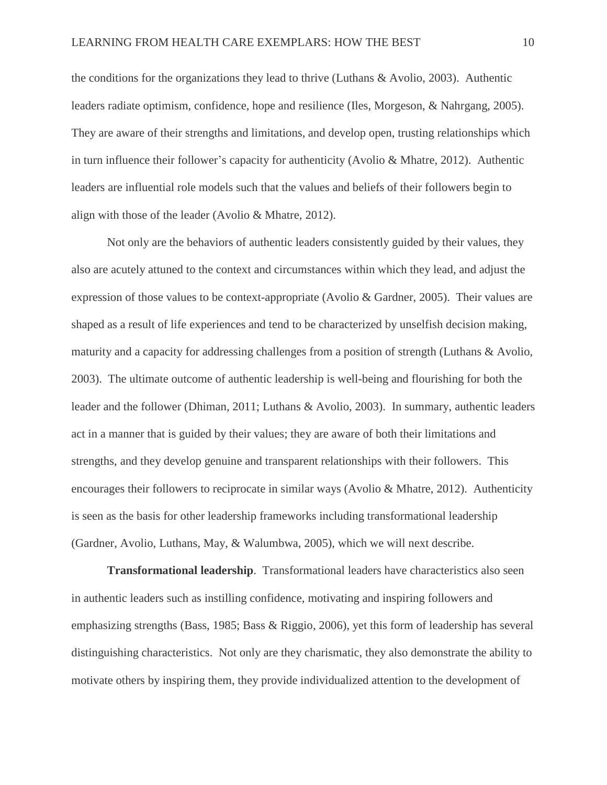the conditions for the organizations they lead to thrive (Luthans & Avolio, 2003). Authentic leaders radiate optimism, confidence, hope and resilience (Iles, Morgeson, & Nahrgang, 2005). They are aware of their strengths and limitations, and develop open, trusting relationships which in turn influence their follower's capacity for authenticity (Avolio & Mhatre, 2012). Authentic leaders are influential role models such that the values and beliefs of their followers begin to align with those of the leader (Avolio & Mhatre, 2012).

Not only are the behaviors of authentic leaders consistently guided by their values, they also are acutely attuned to the context and circumstances within which they lead, and adjust the expression of those values to be context-appropriate (Avolio & Gardner, 2005). Their values are shaped as a result of life experiences and tend to be characterized by unselfish decision making, maturity and a capacity for addressing challenges from a position of strength (Luthans & Avolio, 2003). The ultimate outcome of authentic leadership is well-being and flourishing for both the leader and the follower (Dhiman, 2011; Luthans & Avolio, 2003). In summary, authentic leaders act in a manner that is guided by their values; they are aware of both their limitations and strengths, and they develop genuine and transparent relationships with their followers. This encourages their followers to reciprocate in similar ways (Avolio & Mhatre, 2012). Authenticity is seen as the basis for other leadership frameworks including transformational leadership (Gardner, Avolio, Luthans, May, & Walumbwa, 2005), which we will next describe.

**Transformational leadership**. Transformational leaders have characteristics also seen in authentic leaders such as instilling confidence, motivating and inspiring followers and emphasizing strengths (Bass, 1985; Bass & Riggio, 2006), yet this form of leadership has several distinguishing characteristics. Not only are they charismatic, they also demonstrate the ability to motivate others by inspiring them, they provide individualized attention to the development of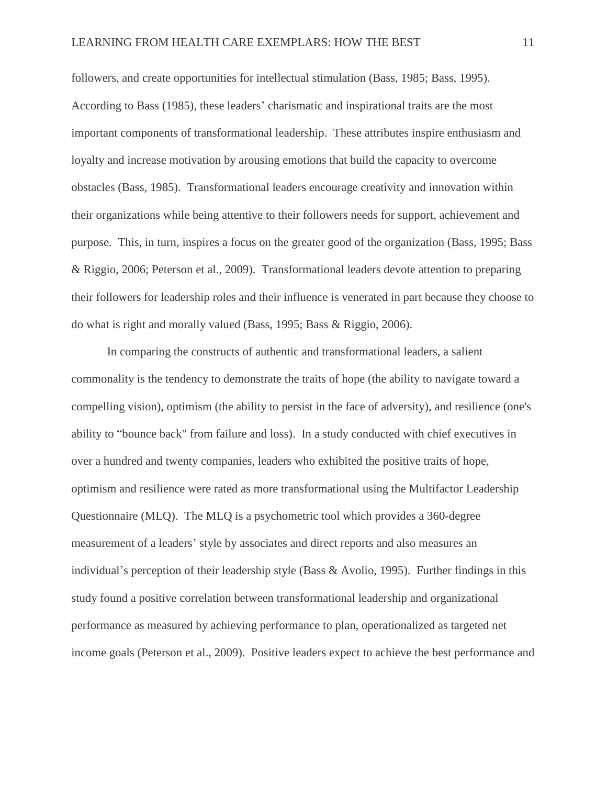followers, and create opportunities for intellectual stimulation (Bass, 1985; Bass, 1995). According to Bass (1985), these leaders' charismatic and inspirational traits are the most important components of transformational leadership. These attributes inspire enthusiasm and loyalty and increase motivation by arousing emotions that build the capacity to overcome obstacles (Bass, 1985). Transformational leaders encourage creativity and innovation within their organizations while being attentive to their followers needs for support, achievement and purpose. This, in turn, inspires a focus on the greater good of the organization (Bass, 1995; Bass & Riggio, 2006; Peterson et al., 2009). Transformational leaders devote attention to preparing their followers for leadership roles and their influence is venerated in part because they choose to do what is right and morally valued (Bass, 1995; Bass & Riggio, 2006).

In comparing the constructs of authentic and transformational leaders, a salient commonality is the tendency to demonstrate the traits of hope (the ability to navigate toward a compelling vision), optimism (the ability to persist in the face of adversity), and resilience (one's ability to "bounce back" from failure and loss). In a study conducted with chief executives in over a hundred and twenty companies, leaders who exhibited the positive traits of hope, optimism and resilience were rated as more transformational using the Multifactor Leadership Questionnaire (MLQ). The MLQ is a psychometric tool which provides a 360-degree measurement of a leaders' style by associates and direct reports and also measures an individual's perception of their leadership style (Bass & Avolio, 1995). Further findings in this study found a positive correlation between transformational leadership and organizational performance as measured by achieving performance to plan, operationalized as targeted net income goals (Peterson et al., 2009). Positive leaders expect to achieve the best performance and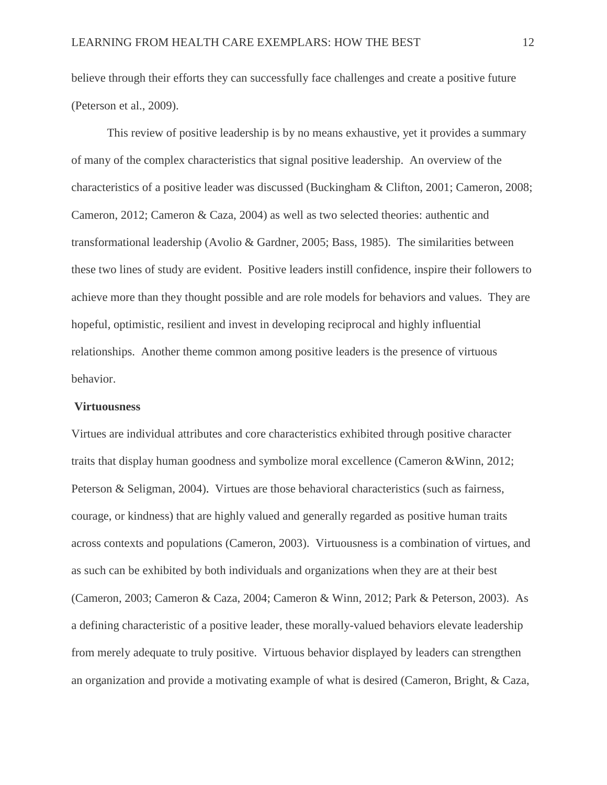believe through their efforts they can successfully face challenges and create a positive future (Peterson et al., 2009).

This review of positive leadership is by no means exhaustive, yet it provides a summary of many of the complex characteristics that signal positive leadership. An overview of the characteristics of a positive leader was discussed (Buckingham & Clifton, 2001; Cameron, 2008; Cameron, 2012; Cameron & Caza, 2004) as well as two selected theories: authentic and transformational leadership (Avolio & Gardner, 2005; Bass, 1985). The similarities between these two lines of study are evident. Positive leaders instill confidence, inspire their followers to achieve more than they thought possible and are role models for behaviors and values. They are hopeful, optimistic, resilient and invest in developing reciprocal and highly influential relationships. Another theme common among positive leaders is the presence of virtuous behavior.

#### **Virtuousness**

Virtues are individual attributes and core characteristics exhibited through positive character traits that display human goodness and symbolize moral excellence (Cameron &Winn, 2012; Peterson & Seligman, 2004). Virtues are those behavioral characteristics (such as fairness, courage, or kindness) that are highly valued and generally regarded as positive human traits across contexts and populations (Cameron, 2003). Virtuousness is a combination of virtues, and as such can be exhibited by both individuals and organizations when they are at their best (Cameron, 2003; Cameron & Caza, 2004; Cameron & Winn, 2012; Park & Peterson, 2003). As a defining characteristic of a positive leader, these morally-valued behaviors elevate leadership from merely adequate to truly positive. Virtuous behavior displayed by leaders can strengthen an organization and provide a motivating example of what is desired (Cameron, Bright, & Caza,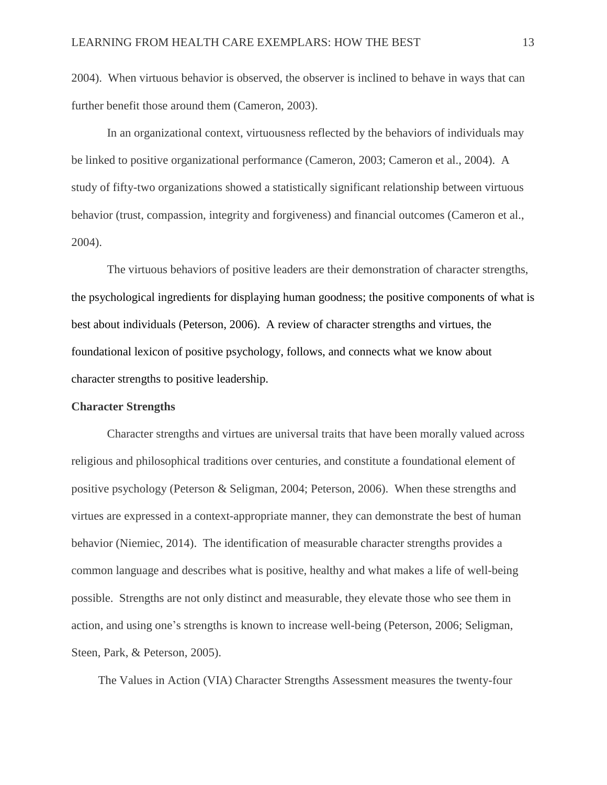2004). When virtuous behavior is observed, the observer is inclined to behave in ways that can further benefit those around them (Cameron, 2003).

In an organizational context, virtuousness reflected by the behaviors of individuals may be linked to positive organizational performance (Cameron, 2003; Cameron et al., 2004). A study of fifty-two organizations showed a statistically significant relationship between virtuous behavior (trust, compassion, integrity and forgiveness) and financial outcomes (Cameron et al., 2004).

The virtuous behaviors of positive leaders are their demonstration of character strengths, the psychological ingredients for displaying human goodness; the positive components of what is best about individuals (Peterson, 2006). A review of character strengths and virtues, the foundational lexicon of positive psychology, follows, and connects what we know about character strengths to positive leadership.

#### **Character Strengths**

Character strengths and virtues are universal traits that have been morally valued across religious and philosophical traditions over centuries, and constitute a foundational element of positive psychology (Peterson & Seligman, 2004; Peterson, 2006). When these strengths and virtues are expressed in a context-appropriate manner, they can demonstrate the best of human behavior (Niemiec, 2014). The identification of measurable character strengths provides a common language and describes what is positive, healthy and what makes a life of well-being possible. Strengths are not only distinct and measurable, they elevate those who see them in action, and using one's strengths is known to increase well-being (Peterson, 2006; Seligman, Steen, Park, & Peterson, 2005).

The Values in Action (VIA) Character Strengths Assessment measures the twenty-four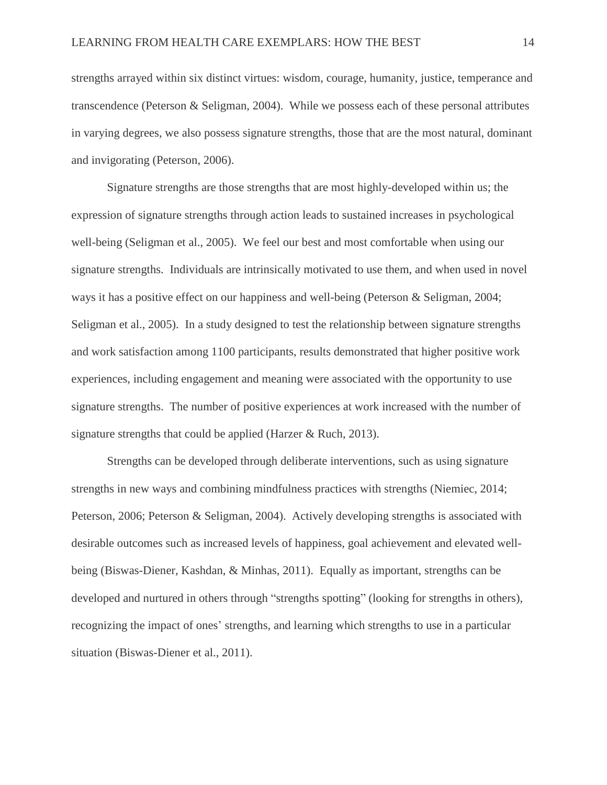strengths arrayed within six distinct virtues: wisdom, courage, humanity, justice, temperance and transcendence (Peterson & Seligman, 2004). While we possess each of these personal attributes in varying degrees, we also possess signature strengths, those that are the most natural, dominant and invigorating (Peterson, 2006).

Signature strengths are those strengths that are most highly-developed within us; the expression of signature strengths through action leads to sustained increases in psychological well-being (Seligman et al., 2005). We feel our best and most comfortable when using our signature strengths. Individuals are intrinsically motivated to use them, and when used in novel ways it has a positive effect on our happiness and well-being (Peterson & Seligman, 2004; Seligman et al., 2005). In a study designed to test the relationship between signature strengths and work satisfaction among 1100 participants, results demonstrated that higher positive work experiences, including engagement and meaning were associated with the opportunity to use signature strengths. The number of positive experiences at work increased with the number of signature strengths that could be applied (Harzer & Ruch, 2013).

Strengths can be developed through deliberate interventions, such as using signature strengths in new ways and combining mindfulness practices with strengths (Niemiec, 2014; Peterson, 2006; Peterson & Seligman, 2004). Actively developing strengths is associated with desirable outcomes such as increased levels of happiness, goal achievement and elevated wellbeing (Biswas-Diener, Kashdan, & Minhas, 2011). Equally as important, strengths can be developed and nurtured in others through "strengths spotting" (looking for strengths in others), recognizing the impact of ones' strengths, and learning which strengths to use in a particular situation (Biswas-Diener et al., 2011).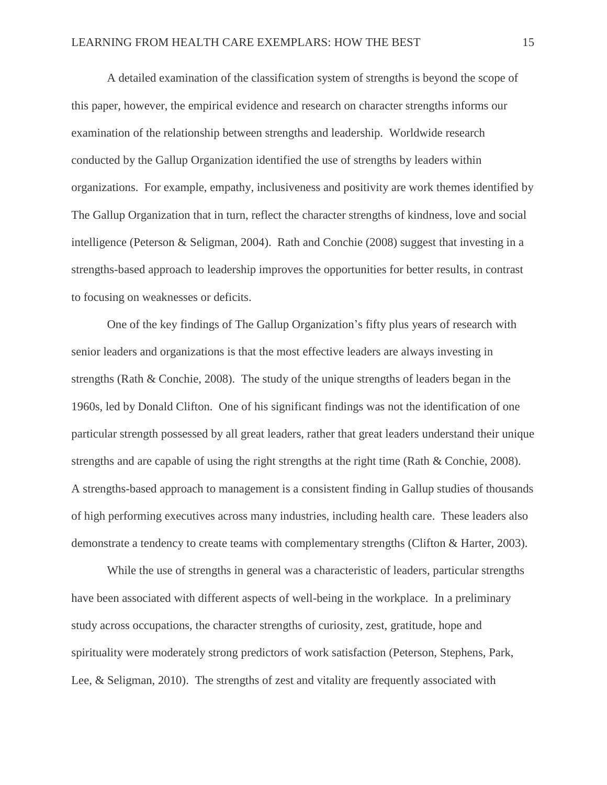A detailed examination of the classification system of strengths is beyond the scope of this paper, however, the empirical evidence and research on character strengths informs our examination of the relationship between strengths and leadership. Worldwide research conducted by the Gallup Organization identified the use of strengths by leaders within organizations. For example, empathy, inclusiveness and positivity are work themes identified by The Gallup Organization that in turn, reflect the character strengths of kindness, love and social intelligence (Peterson & Seligman, 2004). Rath and Conchie (2008) suggest that investing in a strengths-based approach to leadership improves the opportunities for better results, in contrast to focusing on weaknesses or deficits.

One of the key findings of The Gallup Organization's fifty plus years of research with senior leaders and organizations is that the most effective leaders are always investing in strengths (Rath & Conchie, 2008). The study of the unique strengths of leaders began in the 1960s, led by Donald Clifton. One of his significant findings was not the identification of one particular strength possessed by all great leaders, rather that great leaders understand their unique strengths and are capable of using the right strengths at the right time (Rath & Conchie, 2008). A strengths-based approach to management is a consistent finding in Gallup studies of thousands of high performing executives across many industries, including health care. These leaders also demonstrate a tendency to create teams with complementary strengths (Clifton & Harter, 2003).

While the use of strengths in general was a characteristic of leaders, particular strengths have been associated with different aspects of well-being in the workplace. In a preliminary study across occupations, the character strengths of curiosity, zest, gratitude, hope and spirituality were moderately strong predictors of work satisfaction (Peterson, Stephens, Park, Lee, & Seligman, 2010). The strengths of zest and vitality are frequently associated with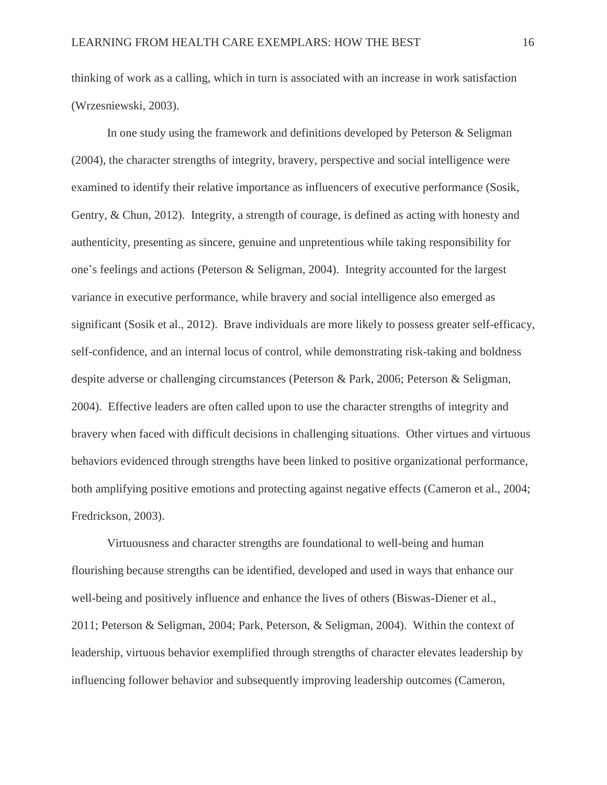thinking of work as a calling, which in turn is associated with an increase in work satisfaction (Wrzesniewski, 2003).

In one study using the framework and definitions developed by Peterson & Seligman (2004), the character strengths of integrity, bravery, perspective and social intelligence were examined to identify their relative importance as influencers of executive performance (Sosik, Gentry, & Chun, 2012). Integrity, a strength of courage, is defined as acting with honesty and authenticity, presenting as sincere, genuine and unpretentious while taking responsibility for one's feelings and actions (Peterson & Seligman, 2004). Integrity accounted for the largest variance in executive performance, while bravery and social intelligence also emerged as significant (Sosik et al., 2012). Brave individuals are more likely to possess greater self-efficacy, self-confidence, and an internal locus of control, while demonstrating risk-taking and boldness despite adverse or challenging circumstances (Peterson & Park, 2006; Peterson & Seligman, 2004). Effective leaders are often called upon to use the character strengths of integrity and bravery when faced with difficult decisions in challenging situations. Other virtues and virtuous behaviors evidenced through strengths have been linked to positive organizational performance, both amplifying positive emotions and protecting against negative effects (Cameron et al., 2004; Fredrickson, 2003).

Virtuousness and character strengths are foundational to well-being and human flourishing because strengths can be identified, developed and used in ways that enhance our well-being and positively influence and enhance the lives of others (Biswas-Diener et al., 2011; Peterson & Seligman, 2004; Park, Peterson, & Seligman, 2004). Within the context of leadership, virtuous behavior exemplified through strengths of character elevates leadership by influencing follower behavior and subsequently improving leadership outcomes (Cameron,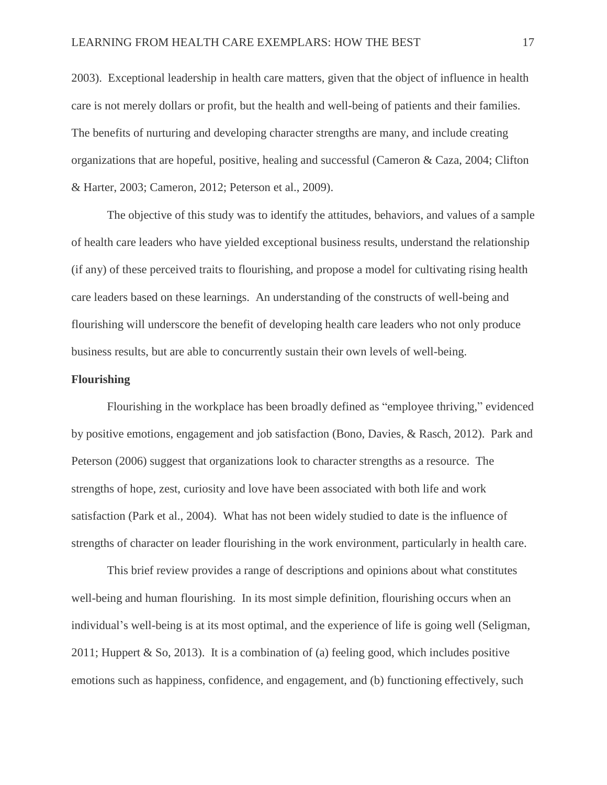2003). Exceptional leadership in health care matters, given that the object of influence in health care is not merely dollars or profit, but the health and well-being of patients and their families. The benefits of nurturing and developing character strengths are many, and include creating organizations that are hopeful, positive, healing and successful (Cameron & Caza, 2004; Clifton & Harter, 2003; Cameron, 2012; Peterson et al., 2009).

The objective of this study was to identify the attitudes, behaviors, and values of a sample of health care leaders who have yielded exceptional business results, understand the relationship (if any) of these perceived traits to flourishing, and propose a model for cultivating rising health care leaders based on these learnings. An understanding of the constructs of well-being and flourishing will underscore the benefit of developing health care leaders who not only produce business results, but are able to concurrently sustain their own levels of well-being.

#### **Flourishing**

Flourishing in the workplace has been broadly defined as "employee thriving," evidenced by positive emotions, engagement and job satisfaction (Bono, Davies, & Rasch, 2012). Park and Peterson (2006) suggest that organizations look to character strengths as a resource. The strengths of hope, zest, curiosity and love have been associated with both life and work satisfaction (Park et al., 2004). What has not been widely studied to date is the influence of strengths of character on leader flourishing in the work environment, particularly in health care.

This brief review provides a range of descriptions and opinions about what constitutes well-being and human flourishing. In its most simple definition, flourishing occurs when an individual's well-being is at its most optimal, and the experience of life is going well (Seligman, 2011; Huppert & So, 2013). It is a combination of (a) feeling good, which includes positive emotions such as happiness, confidence, and engagement, and (b) functioning effectively, such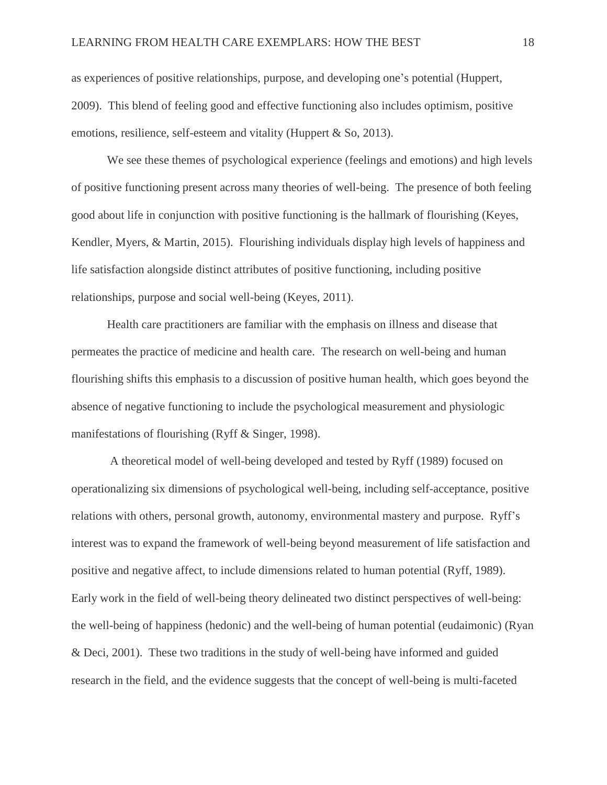as experiences of positive relationships, purpose, and developing one's potential (Huppert, 2009). This blend of feeling good and effective functioning also includes optimism, positive emotions, resilience, self-esteem and vitality (Huppert & So, 2013).

We see these themes of psychological experience (feelings and emotions) and high levels of positive functioning present across many theories of well-being. The presence of both feeling good about life in conjunction with positive functioning is the hallmark of flourishing (Keyes, Kendler, Myers, & Martin, 2015). Flourishing individuals display high levels of happiness and life satisfaction alongside distinct attributes of positive functioning, including positive relationships, purpose and social well-being (Keyes, 2011).

Health care practitioners are familiar with the emphasis on illness and disease that permeates the practice of medicine and health care. The research on well-being and human flourishing shifts this emphasis to a discussion of positive human health, which goes beyond the absence of negative functioning to include the psychological measurement and physiologic manifestations of flourishing (Ryff & Singer, 1998).

A theoretical model of well-being developed and tested by Ryff (1989) focused on operationalizing six dimensions of psychological well-being, including self-acceptance, positive relations with others, personal growth, autonomy, environmental mastery and purpose. Ryff's interest was to expand the framework of well-being beyond measurement of life satisfaction and positive and negative affect, to include dimensions related to human potential (Ryff, 1989). Early work in the field of well-being theory delineated two distinct perspectives of well-being: the well-being of happiness (hedonic) and the well-being of human potential (eudaimonic) (Ryan & Deci, 2001). These two traditions in the study of well-being have informed and guided research in the field, and the evidence suggests that the concept of well-being is multi-faceted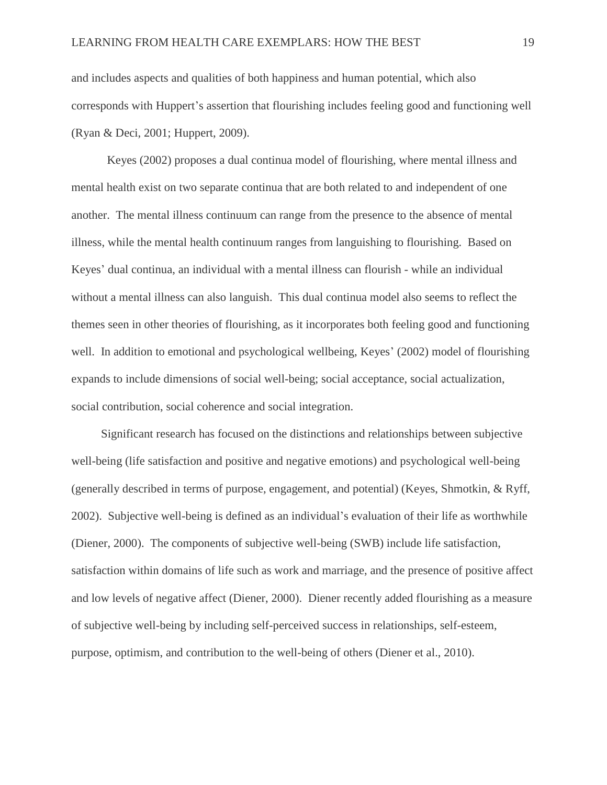and includes aspects and qualities of both happiness and human potential, which also corresponds with Huppert's assertion that flourishing includes feeling good and functioning well (Ryan & Deci, 2001; Huppert, 2009).

Keyes (2002) proposes a dual continua model of flourishing, where mental illness and mental health exist on two separate continua that are both related to and independent of one another. The mental illness continuum can range from the presence to the absence of mental illness, while the mental health continuum ranges from languishing to flourishing. Based on Keyes' dual continua, an individual with a mental illness can flourish - while an individual without a mental illness can also languish. This dual continua model also seems to reflect the themes seen in other theories of flourishing, as it incorporates both feeling good and functioning well. In addition to emotional and psychological wellbeing, Keyes' (2002) model of flourishing expands to include dimensions of social well-being; social acceptance, social actualization, social contribution, social coherence and social integration.

 Significant research has focused on the distinctions and relationships between subjective well-being (life satisfaction and positive and negative emotions) and psychological well-being (generally described in terms of purpose, engagement, and potential) (Keyes, Shmotkin, & Ryff, 2002). Subjective well-being is defined as an individual's evaluation of their life as worthwhile (Diener, 2000). The components of subjective well-being (SWB) include life satisfaction, satisfaction within domains of life such as work and marriage, and the presence of positive affect and low levels of negative affect (Diener, 2000). Diener recently added flourishing as a measure of subjective well-being by including self-perceived success in relationships, self-esteem, purpose, optimism, and contribution to the well-being of others (Diener et al., 2010).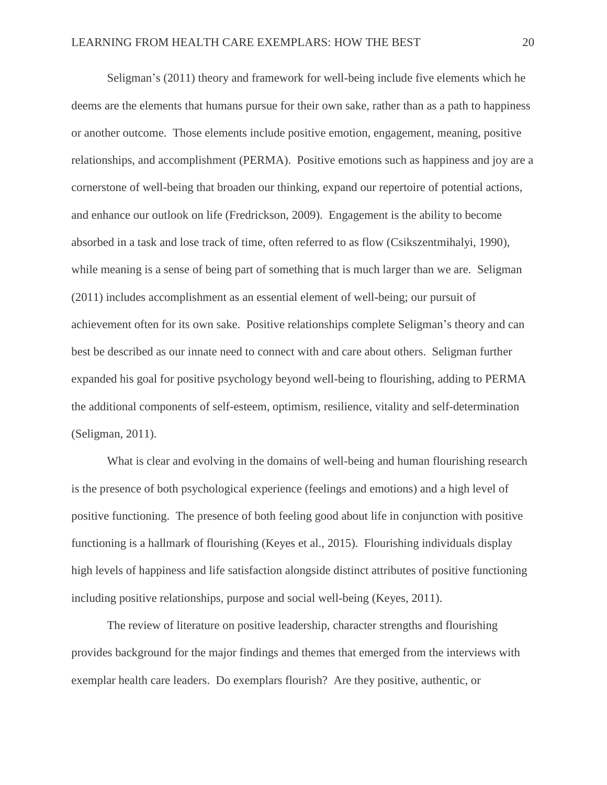Seligman's (2011) theory and framework for well-being include five elements which he deems are the elements that humans pursue for their own sake, rather than as a path to happiness or another outcome. Those elements include positive emotion, engagement, meaning, positive relationships, and accomplishment (PERMA). Positive emotions such as happiness and joy are a cornerstone of well-being that broaden our thinking, expand our repertoire of potential actions, and enhance our outlook on life (Fredrickson, 2009). Engagement is the ability to become absorbed in a task and lose track of time, often referred to as flow (Csikszentmihalyi, 1990), while meaning is a sense of being part of something that is much larger than we are. Seligman (2011) includes accomplishment as an essential element of well-being; our pursuit of achievement often for its own sake. Positive relationships complete Seligman's theory and can best be described as our innate need to connect with and care about others. Seligman further expanded his goal for positive psychology beyond well-being to flourishing, adding to PERMA the additional components of self-esteem, optimism, resilience, vitality and self-determination (Seligman, 2011).

What is clear and evolving in the domains of well-being and human flourishing research is the presence of both psychological experience (feelings and emotions) and a high level of positive functioning. The presence of both feeling good about life in conjunction with positive functioning is a hallmark of flourishing (Keyes et al., 2015). Flourishing individuals display high levels of happiness and life satisfaction alongside distinct attributes of positive functioning including positive relationships, purpose and social well-being (Keyes, 2011).

The review of literature on positive leadership, character strengths and flourishing provides background for the major findings and themes that emerged from the interviews with exemplar health care leaders. Do exemplars flourish? Are they positive, authentic, or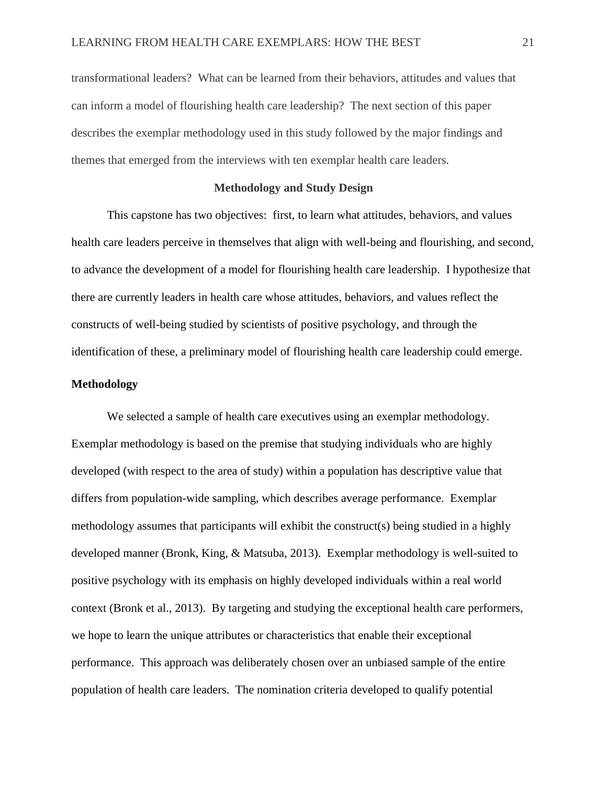transformational leaders? What can be learned from their behaviors, attitudes and values that can inform a model of flourishing health care leadership? The next section of this paper describes the exemplar methodology used in this study followed by the major findings and themes that emerged from the interviews with ten exemplar health care leaders.

#### **Methodology and Study Design**

This capstone has two objectives: first, to learn what attitudes, behaviors, and values health care leaders perceive in themselves that align with well-being and flourishing, and second, to advance the development of a model for flourishing health care leadership. I hypothesize that there are currently leaders in health care whose attitudes, behaviors, and values reflect the constructs of well-being studied by scientists of positive psychology, and through the identification of these, a preliminary model of flourishing health care leadership could emerge.

#### **Methodology**

We selected a sample of health care executives using an exemplar methodology. Exemplar methodology is based on the premise that studying individuals who are highly developed (with respect to the area of study) within a population has descriptive value that differs from population-wide sampling, which describes average performance. Exemplar methodology assumes that participants will exhibit the construct(s) being studied in a highly developed manner (Bronk, King, & Matsuba, 2013). Exemplar methodology is well-suited to positive psychology with its emphasis on highly developed individuals within a real world context (Bronk et al., 2013). By targeting and studying the exceptional health care performers, we hope to learn the unique attributes or characteristics that enable their exceptional performance. This approach was deliberately chosen over an unbiased sample of the entire population of health care leaders. The nomination criteria developed to qualify potential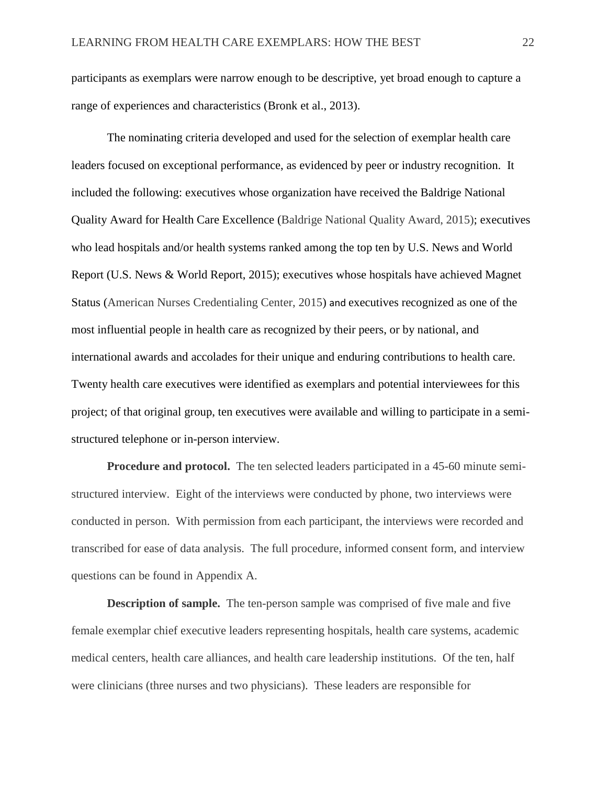participants as exemplars were narrow enough to be descriptive, yet broad enough to capture a range of experiences and characteristics (Bronk et al., 2013).

The nominating criteria developed and used for the selection of exemplar health care leaders focused on exceptional performance, as evidenced by peer or industry recognition. It included the following: executives whose organization have received the Baldrige National Quality Award for Health Care Excellence (Baldrige National Quality Award, 2015); executives who lead hospitals and/or health systems ranked among the top ten by U.S. News and World Report (U.S. News & World Report, 2015); executives whose hospitals have achieved Magnet Status (American Nurses Credentialing Center, 2015) and executives recognized as one of the most influential people in health care as recognized by their peers, or by national, and international awards and accolades for their unique and enduring contributions to health care. Twenty health care executives were identified as exemplars and potential interviewees for this project; of that original group, ten executives were available and willing to participate in a semistructured telephone or in-person interview.

**Procedure and protocol.** The ten selected leaders participated in a 45-60 minute semistructured interview. Eight of the interviews were conducted by phone, two interviews were conducted in person. With permission from each participant, the interviews were recorded and transcribed for ease of data analysis. The full procedure, informed consent form, and interview questions can be found in Appendix A.

**Description of sample.** The ten-person sample was comprised of five male and five female exemplar chief executive leaders representing hospitals, health care systems, academic medical centers, health care alliances, and health care leadership institutions. Of the ten, half were clinicians (three nurses and two physicians). These leaders are responsible for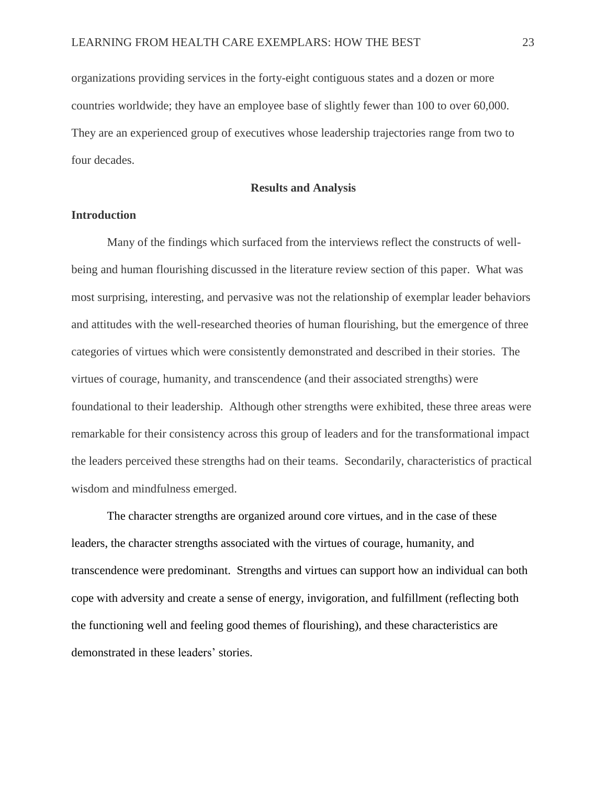organizations providing services in the forty-eight contiguous states and a dozen or more countries worldwide; they have an employee base of slightly fewer than 100 to over 60,000. They are an experienced group of executives whose leadership trajectories range from two to four decades.

**Results and Analysis**

### **Introduction**

Many of the findings which surfaced from the interviews reflect the constructs of wellbeing and human flourishing discussed in the literature review section of this paper. What was most surprising, interesting, and pervasive was not the relationship of exemplar leader behaviors and attitudes with the well-researched theories of human flourishing, but the emergence of three categories of virtues which were consistently demonstrated and described in their stories. The virtues of courage, humanity, and transcendence (and their associated strengths) were foundational to their leadership. Although other strengths were exhibited, these three areas were remarkable for their consistency across this group of leaders and for the transformational impact the leaders perceived these strengths had on their teams. Secondarily, characteristics of practical wisdom and mindfulness emerged.

The character strengths are organized around core virtues, and in the case of these leaders, the character strengths associated with the virtues of courage, humanity, and transcendence were predominant. Strengths and virtues can support how an individual can both cope with adversity and create a sense of energy, invigoration, and fulfillment (reflecting both the functioning well and feeling good themes of flourishing), and these characteristics are demonstrated in these leaders' stories.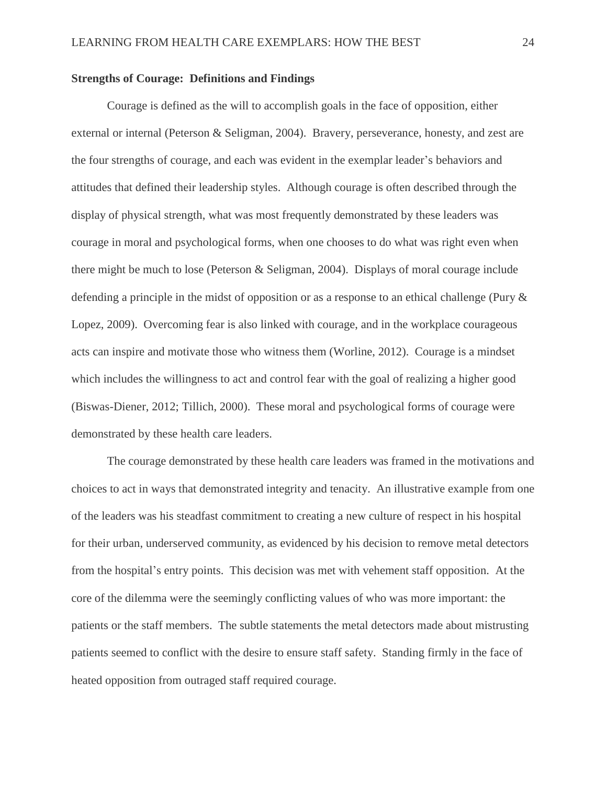#### **Strengths of Courage: Definitions and Findings**

Courage is defined as the will to accomplish goals in the face of opposition, either external or internal (Peterson & Seligman, 2004). Bravery, perseverance, honesty, and zest are the four strengths of courage, and each was evident in the exemplar leader's behaviors and attitudes that defined their leadership styles. Although courage is often described through the display of physical strength, what was most frequently demonstrated by these leaders was courage in moral and psychological forms, when one chooses to do what was right even when there might be much to lose (Peterson & Seligman, 2004). Displays of moral courage include defending a principle in the midst of opposition or as a response to an ethical challenge (Pury & Lopez, 2009). Overcoming fear is also linked with courage, and in the workplace courageous acts can inspire and motivate those who witness them (Worline, 2012). Courage is a mindset which includes the willingness to act and control fear with the goal of realizing a higher good (Biswas-Diener, 2012; Tillich, 2000). These moral and psychological forms of courage were demonstrated by these health care leaders.

The courage demonstrated by these health care leaders was framed in the motivations and choices to act in ways that demonstrated integrity and tenacity. An illustrative example from one of the leaders was his steadfast commitment to creating a new culture of respect in his hospital for their urban, underserved community, as evidenced by his decision to remove metal detectors from the hospital's entry points. This decision was met with vehement staff opposition. At the core of the dilemma were the seemingly conflicting values of who was more important: the patients or the staff members. The subtle statements the metal detectors made about mistrusting patients seemed to conflict with the desire to ensure staff safety. Standing firmly in the face of heated opposition from outraged staff required courage.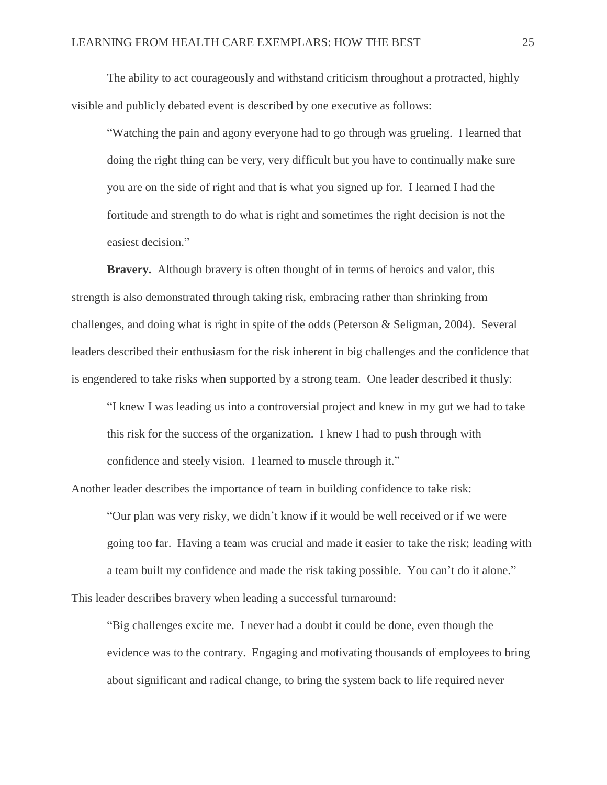The ability to act courageously and withstand criticism throughout a protracted, highly visible and publicly debated event is described by one executive as follows:

"Watching the pain and agony everyone had to go through was grueling. I learned that doing the right thing can be very, very difficult but you have to continually make sure you are on the side of right and that is what you signed up for. I learned I had the fortitude and strength to do what is right and sometimes the right decision is not the easiest decision."

**Bravery.** Although bravery is often thought of in terms of heroics and valor, this strength is also demonstrated through taking risk, embracing rather than shrinking from challenges, and doing what is right in spite of the odds (Peterson & Seligman, 2004). Several leaders described their enthusiasm for the risk inherent in big challenges and the confidence that is engendered to take risks when supported by a strong team. One leader described it thusly:

"I knew I was leading us into a controversial project and knew in my gut we had to take this risk for the success of the organization. I knew I had to push through with confidence and steely vision. I learned to muscle through it."

Another leader describes the importance of team in building confidence to take risk:

"Our plan was very risky, we didn't know if it would be well received or if we were going too far. Having a team was crucial and made it easier to take the risk; leading with a team built my confidence and made the risk taking possible. You can't do it alone." This leader describes bravery when leading a successful turnaround:

"Big challenges excite me. I never had a doubt it could be done, even though the evidence was to the contrary. Engaging and motivating thousands of employees to bring about significant and radical change, to bring the system back to life required never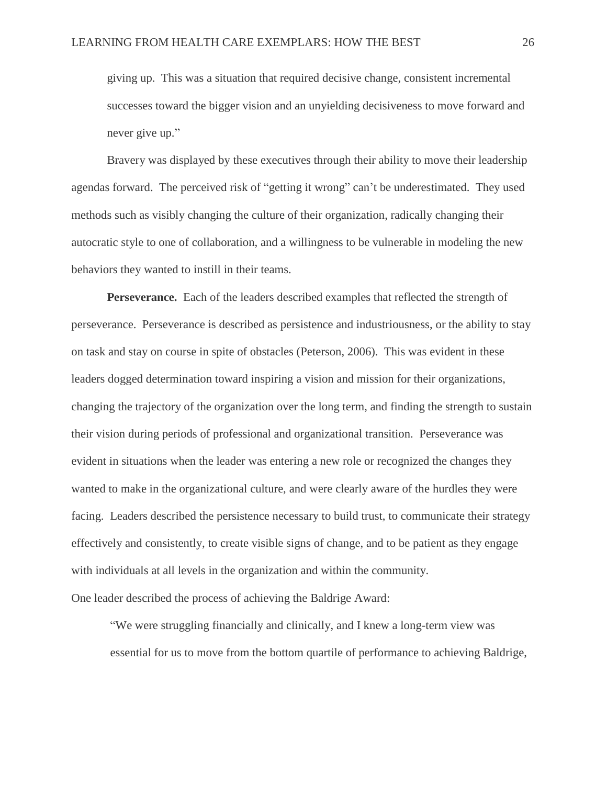giving up. This was a situation that required decisive change, consistent incremental successes toward the bigger vision and an unyielding decisiveness to move forward and never give up."

Bravery was displayed by these executives through their ability to move their leadership agendas forward. The perceived risk of "getting it wrong" can't be underestimated. They used methods such as visibly changing the culture of their organization, radically changing their autocratic style to one of collaboration, and a willingness to be vulnerable in modeling the new behaviors they wanted to instill in their teams.

**Perseverance.** Each of the leaders described examples that reflected the strength of perseverance. Perseverance is described as persistence and industriousness, or the ability to stay on task and stay on course in spite of obstacles (Peterson, 2006). This was evident in these leaders dogged determination toward inspiring a vision and mission for their organizations, changing the trajectory of the organization over the long term, and finding the strength to sustain their vision during periods of professional and organizational transition. Perseverance was evident in situations when the leader was entering a new role or recognized the changes they wanted to make in the organizational culture, and were clearly aware of the hurdles they were facing. Leaders described the persistence necessary to build trust, to communicate their strategy effectively and consistently, to create visible signs of change, and to be patient as they engage with individuals at all levels in the organization and within the community. One leader described the process of achieving the Baldrige Award:

"We were struggling financially and clinically, and I knew a long-term view was essential for us to move from the bottom quartile of performance to achieving Baldrige,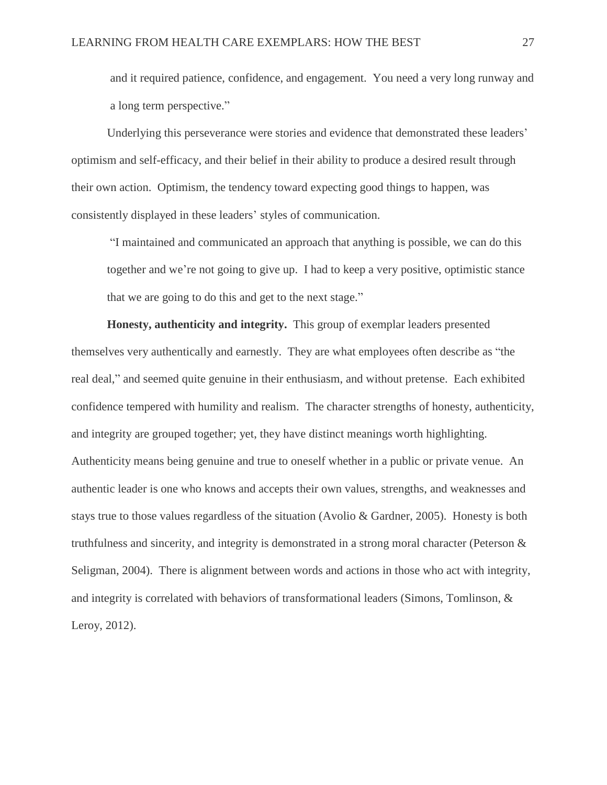and it required patience, confidence, and engagement. You need a very long runway and a long term perspective."

Underlying this perseverance were stories and evidence that demonstrated these leaders' optimism and self-efficacy, and their belief in their ability to produce a desired result through their own action. Optimism, the tendency toward expecting good things to happen, was consistently displayed in these leaders' styles of communication.

"I maintained and communicated an approach that anything is possible, we can do this together and we're not going to give up. I had to keep a very positive, optimistic stance that we are going to do this and get to the next stage."

**Honesty, authenticity and integrity.** This group of exemplar leaders presented themselves very authentically and earnestly. They are what employees often describe as "the real deal," and seemed quite genuine in their enthusiasm, and without pretense. Each exhibited confidence tempered with humility and realism. The character strengths of honesty, authenticity, and integrity are grouped together; yet, they have distinct meanings worth highlighting. Authenticity means being genuine and true to oneself whether in a public or private venue. An authentic leader is one who knows and accepts their own values, strengths, and weaknesses and stays true to those values regardless of the situation (Avolio & Gardner, 2005). Honesty is both truthfulness and sincerity, and integrity is demonstrated in a strong moral character (Peterson & Seligman, 2004). There is alignment between words and actions in those who act with integrity, and integrity is correlated with behaviors of transformational leaders (Simons, Tomlinson, & Leroy, 2012).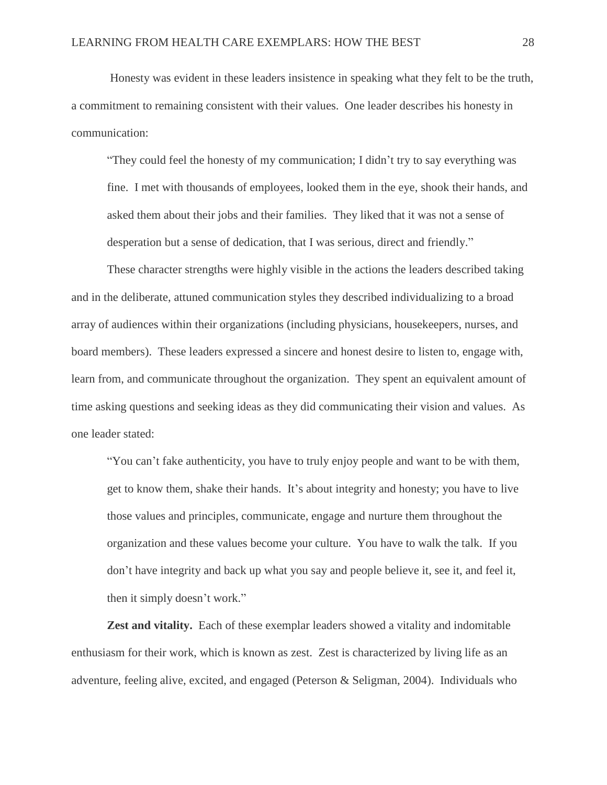Honesty was evident in these leaders insistence in speaking what they felt to be the truth, a commitment to remaining consistent with their values. One leader describes his honesty in communication:

"They could feel the honesty of my communication; I didn't try to say everything was fine. I met with thousands of employees, looked them in the eye, shook their hands, and asked them about their jobs and their families. They liked that it was not a sense of desperation but a sense of dedication, that I was serious, direct and friendly."

These character strengths were highly visible in the actions the leaders described taking and in the deliberate, attuned communication styles they described individualizing to a broad array of audiences within their organizations (including physicians, housekeepers, nurses, and board members). These leaders expressed a sincere and honest desire to listen to, engage with, learn from, and communicate throughout the organization. They spent an equivalent amount of time asking questions and seeking ideas as they did communicating their vision and values. As one leader stated:

"You can't fake authenticity, you have to truly enjoy people and want to be with them, get to know them, shake their hands. It's about integrity and honesty; you have to live those values and principles, communicate, engage and nurture them throughout the organization and these values become your culture. You have to walk the talk. If you don't have integrity and back up what you say and people believe it, see it, and feel it, then it simply doesn't work."

**Zest and vitality.** Each of these exemplar leaders showed a vitality and indomitable enthusiasm for their work, which is known as zest. Zest is characterized by living life as an adventure, feeling alive, excited, and engaged (Peterson & Seligman, 2004). Individuals who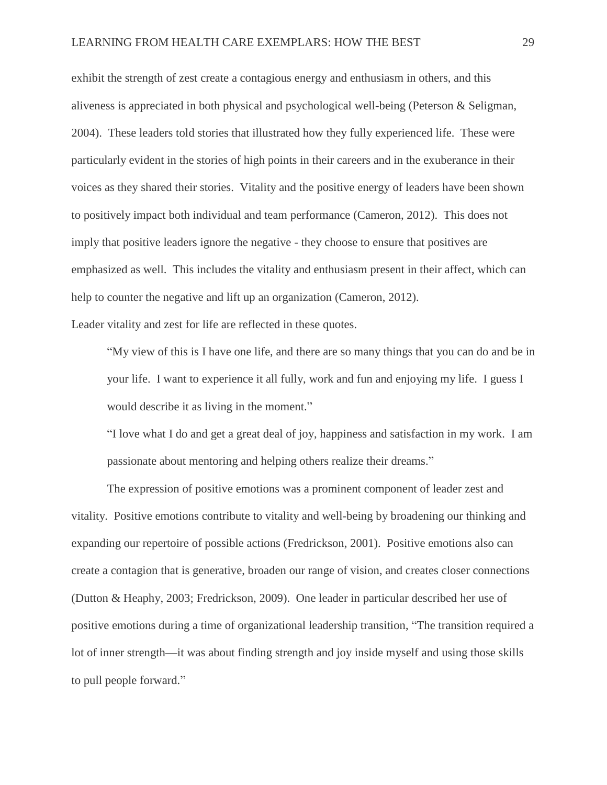exhibit the strength of zest create a contagious energy and enthusiasm in others, and this aliveness is appreciated in both physical and psychological well-being (Peterson & Seligman, 2004). These leaders told stories that illustrated how they fully experienced life. These were particularly evident in the stories of high points in their careers and in the exuberance in their voices as they shared their stories. Vitality and the positive energy of leaders have been shown to positively impact both individual and team performance (Cameron, 2012). This does not imply that positive leaders ignore the negative - they choose to ensure that positives are emphasized as well. This includes the vitality and enthusiasm present in their affect, which can help to counter the negative and lift up an organization (Cameron, 2012).

Leader vitality and zest for life are reflected in these quotes.

"My view of this is I have one life, and there are so many things that you can do and be in your life. I want to experience it all fully, work and fun and enjoying my life. I guess I would describe it as living in the moment."

"I love what I do and get a great deal of joy, happiness and satisfaction in my work. I am passionate about mentoring and helping others realize their dreams."

The expression of positive emotions was a prominent component of leader zest and vitality. Positive emotions contribute to vitality and well-being by broadening our thinking and expanding our repertoire of possible actions (Fredrickson, 2001). Positive emotions also can create a contagion that is generative, broaden our range of vision, and creates closer connections (Dutton & Heaphy, 2003; Fredrickson, 2009). One leader in particular described her use of positive emotions during a time of organizational leadership transition, "The transition required a lot of inner strength—it was about finding strength and joy inside myself and using those skills to pull people forward."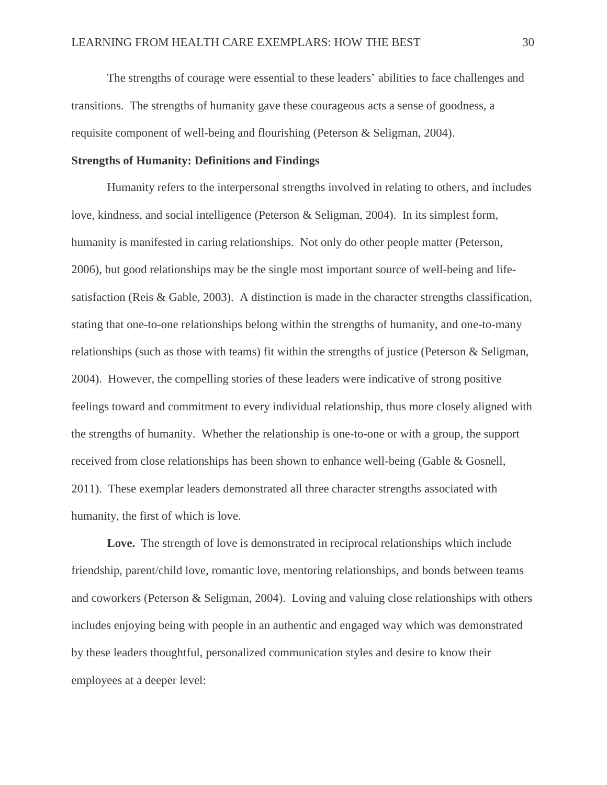The strengths of courage were essential to these leaders' abilities to face challenges and transitions. The strengths of humanity gave these courageous acts a sense of goodness, a requisite component of well-being and flourishing (Peterson & Seligman, 2004).

#### **Strengths of Humanity: Definitions and Findings**

Humanity refers to the interpersonal strengths involved in relating to others, and includes love, kindness, and social intelligence (Peterson & Seligman, 2004). In its simplest form, humanity is manifested in caring relationships. Not only do other people matter (Peterson, 2006), but good relationships may be the single most important source of well-being and lifesatisfaction (Reis & Gable, 2003). A distinction is made in the character strengths classification, stating that one-to-one relationships belong within the strengths of humanity, and one-to-many relationships (such as those with teams) fit within the strengths of justice (Peterson & Seligman, 2004). However, the compelling stories of these leaders were indicative of strong positive feelings toward and commitment to every individual relationship, thus more closely aligned with the strengths of humanity. Whether the relationship is one-to-one or with a group, the support received from close relationships has been shown to enhance well-being (Gable & Gosnell, 2011). These exemplar leaders demonstrated all three character strengths associated with humanity, the first of which is love.

Love. The strength of love is demonstrated in reciprocal relationships which include friendship, parent/child love, romantic love, mentoring relationships, and bonds between teams and coworkers (Peterson & Seligman, 2004). Loving and valuing close relationships with others includes enjoying being with people in an authentic and engaged way which was demonstrated by these leaders thoughtful, personalized communication styles and desire to know their employees at a deeper level: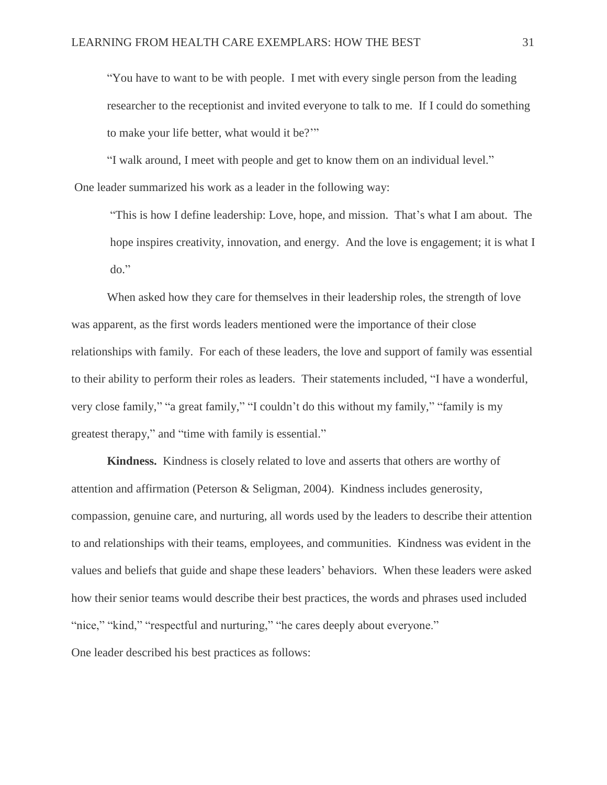"You have to want to be with people. I met with every single person from the leading researcher to the receptionist and invited everyone to talk to me. If I could do something to make your life better, what would it be?'"

"I walk around, I meet with people and get to know them on an individual level." One leader summarized his work as a leader in the following way:

"This is how I define leadership: Love, hope, and mission. That's what I am about. The hope inspires creativity, innovation, and energy. And the love is engagement; it is what I do."

When asked how they care for themselves in their leadership roles, the strength of love was apparent, as the first words leaders mentioned were the importance of their close relationships with family. For each of these leaders, the love and support of family was essential to their ability to perform their roles as leaders. Their statements included, "I have a wonderful, very close family," "a great family," "I couldn't do this without my family," "family is my greatest therapy," and "time with family is essential."

**Kindness.** Kindness is closely related to love and asserts that others are worthy of attention and affirmation (Peterson & Seligman, 2004). Kindness includes generosity, compassion, genuine care, and nurturing, all words used by the leaders to describe their attention to and relationships with their teams, employees, and communities. Kindness was evident in the values and beliefs that guide and shape these leaders' behaviors. When these leaders were asked how their senior teams would describe their best practices, the words and phrases used included "nice," "kind," "respectful and nurturing," "he cares deeply about everyone." One leader described his best practices as follows: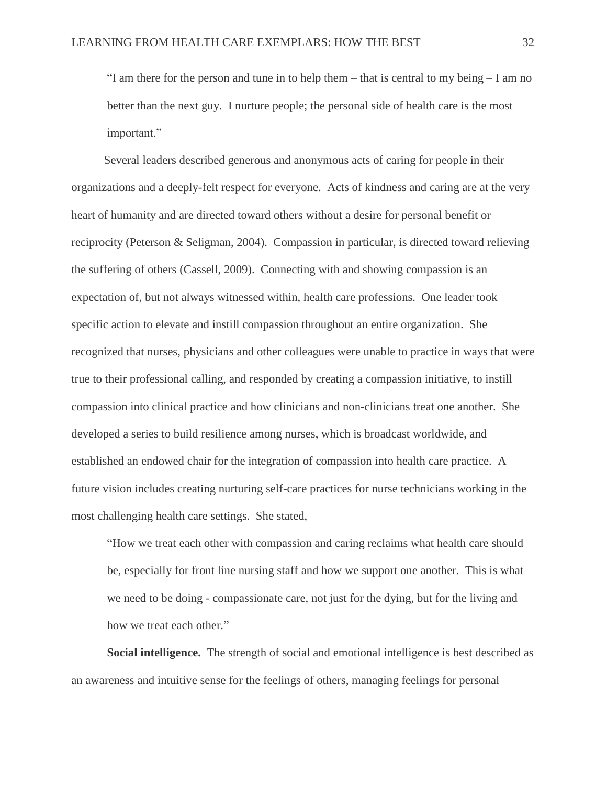"I am there for the person and tune in to help them – that is central to my being – I am no better than the next guy. I nurture people; the personal side of health care is the most important."

 Several leaders described generous and anonymous acts of caring for people in their organizations and a deeply-felt respect for everyone. Acts of kindness and caring are at the very heart of humanity and are directed toward others without a desire for personal benefit or reciprocity (Peterson & Seligman, 2004). Compassion in particular, is directed toward relieving the suffering of others (Cassell, 2009). Connecting with and showing compassion is an expectation of, but not always witnessed within, health care professions. One leader took specific action to elevate and instill compassion throughout an entire organization. She recognized that nurses, physicians and other colleagues were unable to practice in ways that were true to their professional calling, and responded by creating a compassion initiative, to instill compassion into clinical practice and how clinicians and non-clinicians treat one another. She developed a series to build resilience among nurses, which is broadcast worldwide, and established an endowed chair for the integration of compassion into health care practice. A future vision includes creating nurturing self-care practices for nurse technicians working in the most challenging health care settings. She stated,

"How we treat each other with compassion and caring reclaims what health care should be, especially for front line nursing staff and how we support one another. This is what we need to be doing - compassionate care, not just for the dying, but for the living and how we treat each other."

**Social intelligence.** The strength of social and emotional intelligence is best described as an awareness and intuitive sense for the feelings of others, managing feelings for personal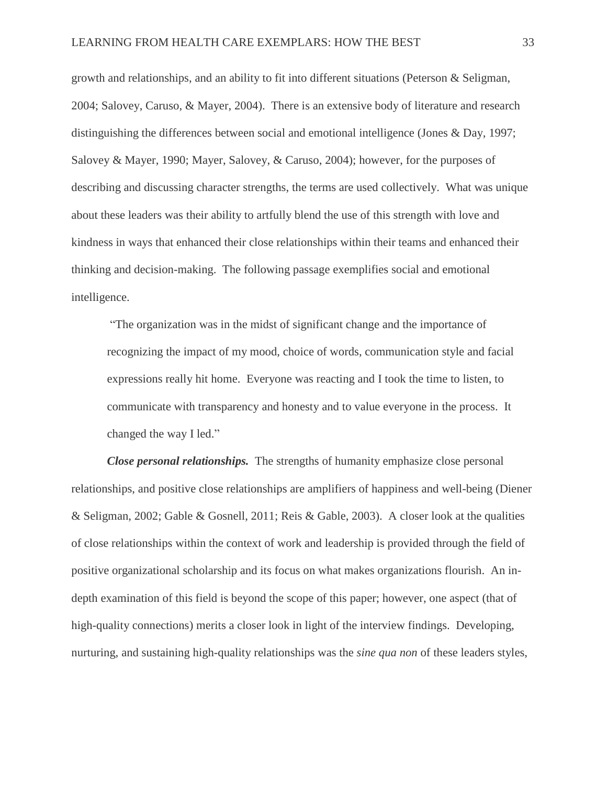growth and relationships, and an ability to fit into different situations (Peterson & Seligman, 2004; Salovey, Caruso, & Mayer, 2004). There is an extensive body of literature and research distinguishing the differences between social and emotional intelligence (Jones & Day, 1997; Salovey & Mayer, 1990; Mayer, Salovey, & Caruso, 2004); however, for the purposes of describing and discussing character strengths, the terms are used collectively. What was unique about these leaders was their ability to artfully blend the use of this strength with love and kindness in ways that enhanced their close relationships within their teams and enhanced their thinking and decision-making. The following passage exemplifies social and emotional intelligence.

"The organization was in the midst of significant change and the importance of recognizing the impact of my mood, choice of words, communication style and facial expressions really hit home. Everyone was reacting and I took the time to listen, to communicate with transparency and honesty and to value everyone in the process. It changed the way I led."

*Close personal relationships.* The strengths of humanity emphasize close personal relationships, and positive close relationships are amplifiers of happiness and well-being (Diener & Seligman, 2002; Gable & Gosnell, 2011; Reis & Gable, 2003). A closer look at the qualities of close relationships within the context of work and leadership is provided through the field of positive organizational scholarship and its focus on what makes organizations flourish. An indepth examination of this field is beyond the scope of this paper; however, one aspect (that of high-quality connections) merits a closer look in light of the interview findings. Developing, nurturing, and sustaining high-quality relationships was the *sine qua non* of these leaders styles,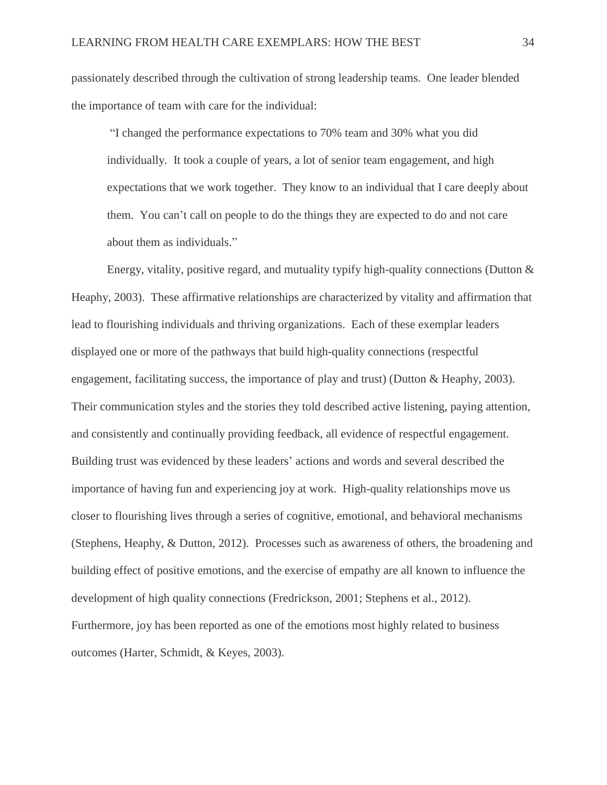passionately described through the cultivation of strong leadership teams. One leader blended the importance of team with care for the individual:

"I changed the performance expectations to 70% team and 30% what you did individually. It took a couple of years, a lot of senior team engagement, and high expectations that we work together. They know to an individual that I care deeply about them. You can't call on people to do the things they are expected to do and not care about them as individuals."

Energy, vitality, positive regard, and mutuality typify high-quality connections (Dutton & Heaphy, 2003). These affirmative relationships are characterized by vitality and affirmation that lead to flourishing individuals and thriving organizations. Each of these exemplar leaders displayed one or more of the pathways that build high-quality connections (respectful engagement, facilitating success, the importance of play and trust) (Dutton & Heaphy, 2003). Their communication styles and the stories they told described active listening, paying attention, and consistently and continually providing feedback, all evidence of respectful engagement. Building trust was evidenced by these leaders' actions and words and several described the importance of having fun and experiencing joy at work. High-quality relationships move us closer to flourishing lives through a series of cognitive, emotional, and behavioral mechanisms (Stephens, Heaphy, & Dutton, 2012). Processes such as awareness of others, the broadening and building effect of positive emotions, and the exercise of empathy are all known to influence the development of high quality connections (Fredrickson, 2001; Stephens et al., 2012). Furthermore, joy has been reported as one of the emotions most highly related to business outcomes (Harter, Schmidt, & Keyes, 2003).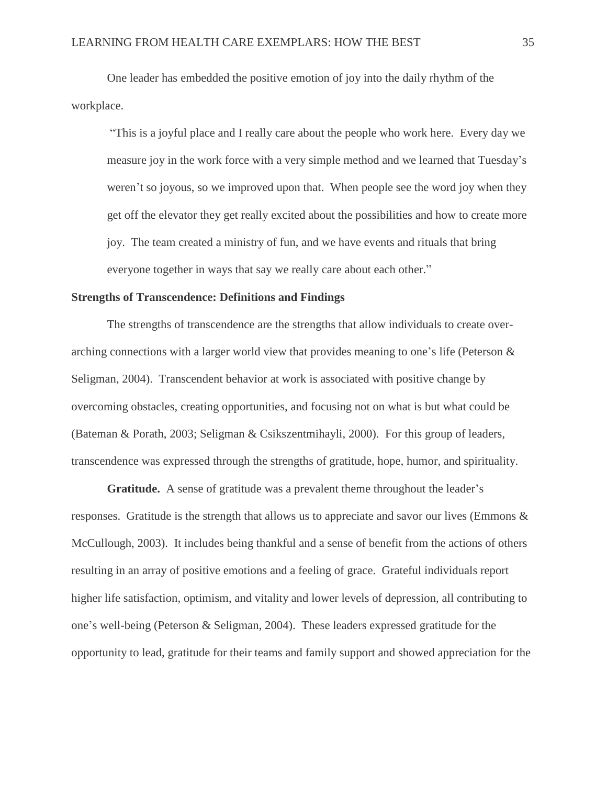One leader has embedded the positive emotion of joy into the daily rhythm of the workplace.

"This is a joyful place and I really care about the people who work here. Every day we measure joy in the work force with a very simple method and we learned that Tuesday's weren't so joyous, so we improved upon that. When people see the word joy when they get off the elevator they get really excited about the possibilities and how to create more joy. The team created a ministry of fun, and we have events and rituals that bring everyone together in ways that say we really care about each other."

#### **Strengths of Transcendence: Definitions and Findings**

 The strengths of transcendence are the strengths that allow individuals to create overarching connections with a larger world view that provides meaning to one's life (Peterson & Seligman, 2004). Transcendent behavior at work is associated with positive change by overcoming obstacles, creating opportunities, and focusing not on what is but what could be (Bateman & Porath, 2003; Seligman & Csikszentmihayli, 2000). For this group of leaders, transcendence was expressed through the strengths of gratitude, hope, humor, and spirituality.

**Gratitude.** A sense of gratitude was a prevalent theme throughout the leader's responses. Gratitude is the strength that allows us to appreciate and savor our lives (Emmons & McCullough, 2003). It includes being thankful and a sense of benefit from the actions of others resulting in an array of positive emotions and a feeling of grace. Grateful individuals report higher life satisfaction, optimism, and vitality and lower levels of depression, all contributing to one's well-being (Peterson & Seligman, 2004). These leaders expressed gratitude for the opportunity to lead, gratitude for their teams and family support and showed appreciation for the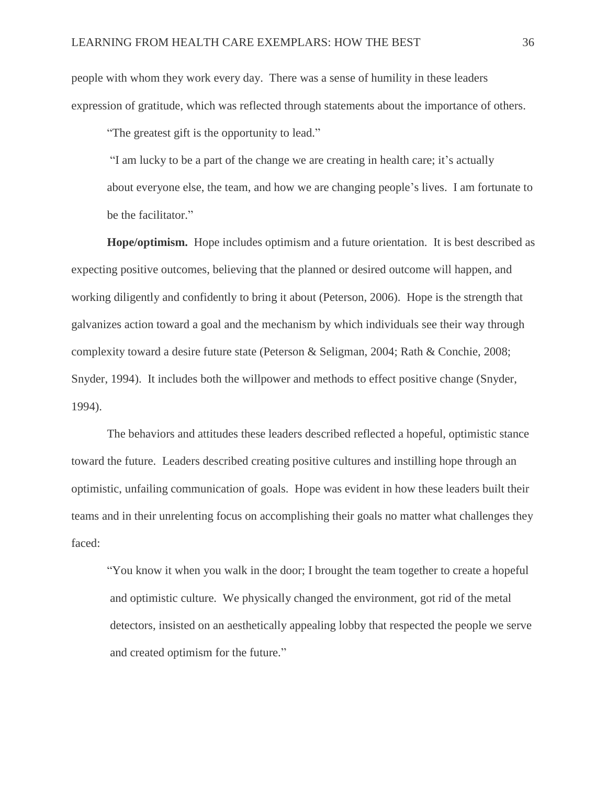people with whom they work every day. There was a sense of humility in these leaders expression of gratitude, which was reflected through statements about the importance of others.

"The greatest gift is the opportunity to lead."

"I am lucky to be a part of the change we are creating in health care; it's actually about everyone else, the team, and how we are changing people's lives. I am fortunate to be the facilitator."

**Hope/optimism.** Hope includes optimism and a future orientation. It is best described as expecting positive outcomes, believing that the planned or desired outcome will happen, and working diligently and confidently to bring it about (Peterson, 2006). Hope is the strength that galvanizes action toward a goal and the mechanism by which individuals see their way through complexity toward a desire future state (Peterson & Seligman, 2004; Rath & Conchie, 2008; Snyder, 1994). It includes both the willpower and methods to effect positive change (Snyder, 1994).

The behaviors and attitudes these leaders described reflected a hopeful, optimistic stance toward the future. Leaders described creating positive cultures and instilling hope through an optimistic, unfailing communication of goals. Hope was evident in how these leaders built their teams and in their unrelenting focus on accomplishing their goals no matter what challenges they faced:

"You know it when you walk in the door; I brought the team together to create a hopeful and optimistic culture. We physically changed the environment, got rid of the metal detectors, insisted on an aesthetically appealing lobby that respected the people we serve and created optimism for the future."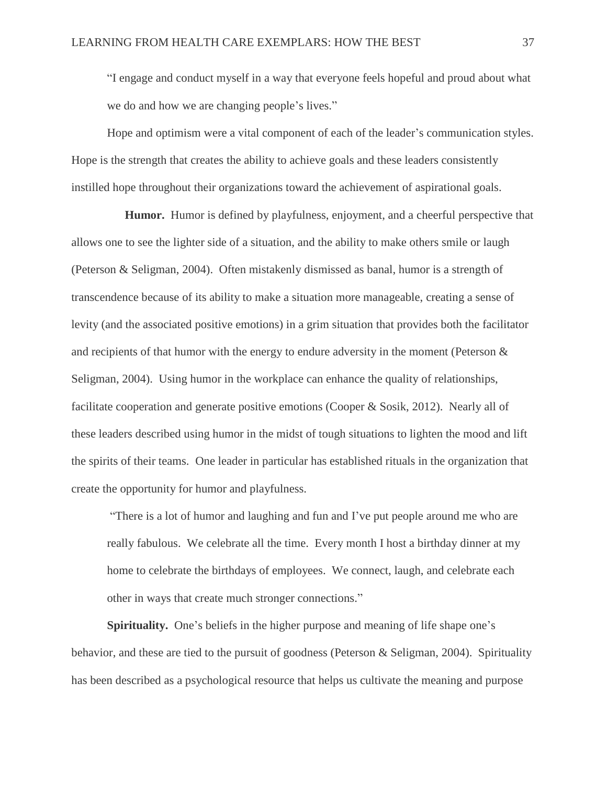"I engage and conduct myself in a way that everyone feels hopeful and proud about what we do and how we are changing people's lives."

Hope and optimism were a vital component of each of the leader's communication styles. Hope is the strength that creates the ability to achieve goals and these leaders consistently instilled hope throughout their organizations toward the achievement of aspirational goals.

 **Humor.** Humor is defined by playfulness, enjoyment, and a cheerful perspective that allows one to see the lighter side of a situation, and the ability to make others smile or laugh (Peterson & Seligman, 2004). Often mistakenly dismissed as banal, humor is a strength of transcendence because of its ability to make a situation more manageable, creating a sense of levity (and the associated positive emotions) in a grim situation that provides both the facilitator and recipients of that humor with the energy to endure adversity in the moment (Peterson & Seligman, 2004). Using humor in the workplace can enhance the quality of relationships, facilitate cooperation and generate positive emotions (Cooper & Sosik, 2012). Nearly all of these leaders described using humor in the midst of tough situations to lighten the mood and lift the spirits of their teams. One leader in particular has established rituals in the organization that create the opportunity for humor and playfulness.

"There is a lot of humor and laughing and fun and I've put people around me who are really fabulous. We celebrate all the time. Every month I host a birthday dinner at my home to celebrate the birthdays of employees. We connect, laugh, and celebrate each other in ways that create much stronger connections."

**Spirituality.** One's beliefs in the higher purpose and meaning of life shape one's behavior, and these are tied to the pursuit of goodness (Peterson & Seligman, 2004). Spirituality has been described as a psychological resource that helps us cultivate the meaning and purpose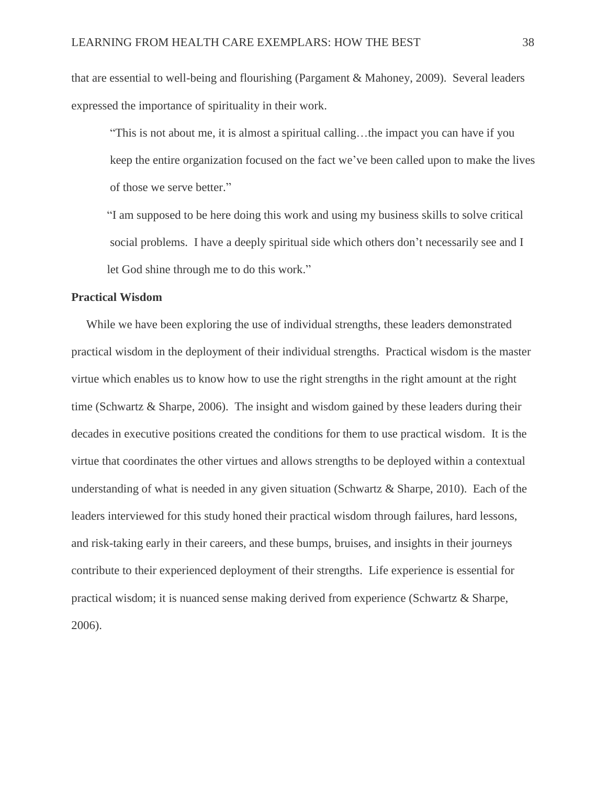that are essential to well-being and flourishing (Pargament & Mahoney, 2009). Several leaders expressed the importance of spirituality in their work.

"This is not about me, it is almost a spiritual calling…the impact you can have if you keep the entire organization focused on the fact we've been called upon to make the lives of those we serve better."

"I am supposed to be here doing this work and using my business skills to solve critical social problems. I have a deeply spiritual side which others don't necessarily see and I let God shine through me to do this work."

### **Practical Wisdom**

 While we have been exploring the use of individual strengths, these leaders demonstrated practical wisdom in the deployment of their individual strengths. Practical wisdom is the master virtue which enables us to know how to use the right strengths in the right amount at the right time (Schwartz & Sharpe, 2006). The insight and wisdom gained by these leaders during their decades in executive positions created the conditions for them to use practical wisdom. It is the virtue that coordinates the other virtues and allows strengths to be deployed within a contextual understanding of what is needed in any given situation (Schwartz & Sharpe, 2010). Each of the leaders interviewed for this study honed their practical wisdom through failures, hard lessons, and risk-taking early in their careers, and these bumps, bruises, and insights in their journeys contribute to their experienced deployment of their strengths. Life experience is essential for practical wisdom; it is nuanced sense making derived from experience (Schwartz & Sharpe, 2006).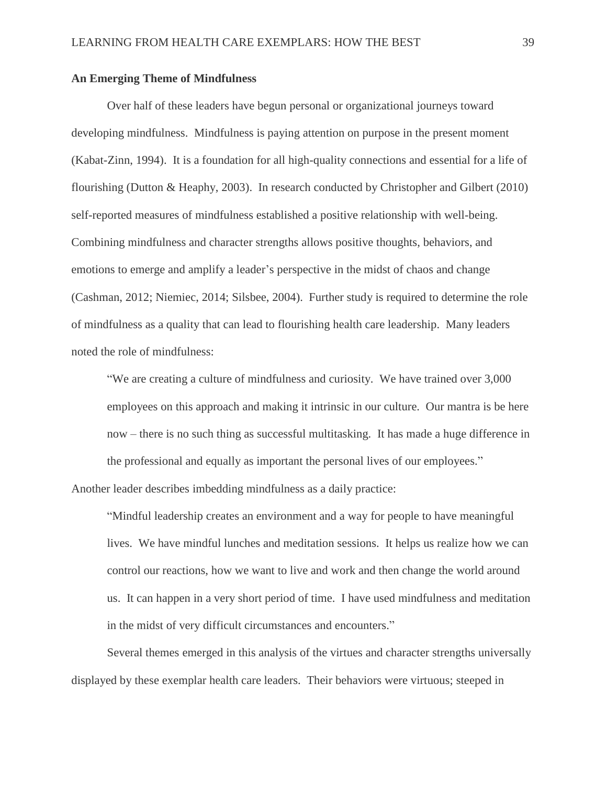#### **An Emerging Theme of Mindfulness**

Over half of these leaders have begun personal or organizational journeys toward developing mindfulness. Mindfulness is paying attention on purpose in the present moment (Kabat-Zinn, 1994). It is a foundation for all high-quality connections and essential for a life of flourishing (Dutton & Heaphy, 2003). In research conducted by Christopher and Gilbert (2010) self-reported measures of mindfulness established a positive relationship with well-being. Combining mindfulness and character strengths allows positive thoughts, behaviors, and emotions to emerge and amplify a leader's perspective in the midst of chaos and change (Cashman, 2012; Niemiec, 2014; Silsbee, 2004). Further study is required to determine the role of mindfulness as a quality that can lead to flourishing health care leadership. Many leaders noted the role of mindfulness:

"We are creating a culture of mindfulness and curiosity. We have trained over 3,000 employees on this approach and making it intrinsic in our culture. Our mantra is be here now – there is no such thing as successful multitasking. It has made a huge difference in the professional and equally as important the personal lives of our employees."

Another leader describes imbedding mindfulness as a daily practice:

"Mindful leadership creates an environment and a way for people to have meaningful lives. We have mindful lunches and meditation sessions. It helps us realize how we can control our reactions, how we want to live and work and then change the world around us. It can happen in a very short period of time. I have used mindfulness and meditation in the midst of very difficult circumstances and encounters."

Several themes emerged in this analysis of the virtues and character strengths universally displayed by these exemplar health care leaders. Their behaviors were virtuous; steeped in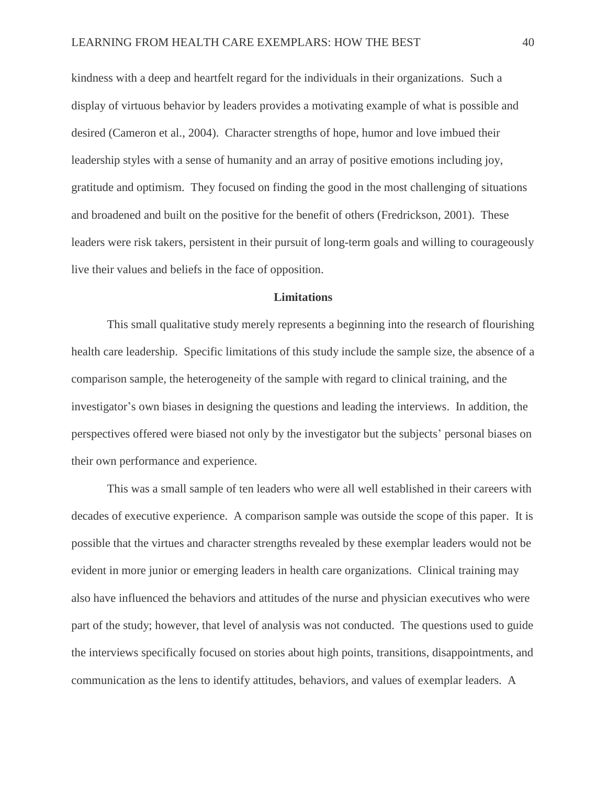kindness with a deep and heartfelt regard for the individuals in their organizations. Such a display of virtuous behavior by leaders provides a motivating example of what is possible and desired (Cameron et al., 2004). Character strengths of hope, humor and love imbued their leadership styles with a sense of humanity and an array of positive emotions including joy, gratitude and optimism. They focused on finding the good in the most challenging of situations and broadened and built on the positive for the benefit of others (Fredrickson, 2001). These leaders were risk takers, persistent in their pursuit of long-term goals and willing to courageously live their values and beliefs in the face of opposition.

### **Limitations**

This small qualitative study merely represents a beginning into the research of flourishing health care leadership. Specific limitations of this study include the sample size, the absence of a comparison sample, the heterogeneity of the sample with regard to clinical training, and the investigator's own biases in designing the questions and leading the interviews. In addition, the perspectives offered were biased not only by the investigator but the subjects' personal biases on their own performance and experience.

This was a small sample of ten leaders who were all well established in their careers with decades of executive experience. A comparison sample was outside the scope of this paper. It is possible that the virtues and character strengths revealed by these exemplar leaders would not be evident in more junior or emerging leaders in health care organizations. Clinical training may also have influenced the behaviors and attitudes of the nurse and physician executives who were part of the study; however, that level of analysis was not conducted. The questions used to guide the interviews specifically focused on stories about high points, transitions, disappointments, and communication as the lens to identify attitudes, behaviors, and values of exemplar leaders. A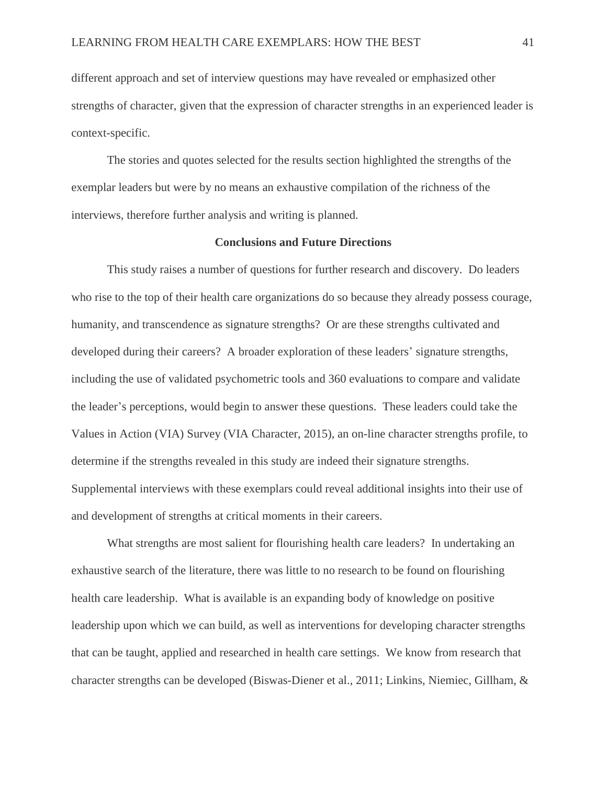different approach and set of interview questions may have revealed or emphasized other strengths of character, given that the expression of character strengths in an experienced leader is context-specific.

The stories and quotes selected for the results section highlighted the strengths of the exemplar leaders but were by no means an exhaustive compilation of the richness of the interviews, therefore further analysis and writing is planned.

#### **Conclusions and Future Directions**

This study raises a number of questions for further research and discovery. Do leaders who rise to the top of their health care organizations do so because they already possess courage, humanity, and transcendence as signature strengths? Or are these strengths cultivated and developed during their careers? A broader exploration of these leaders' signature strengths, including the use of validated psychometric tools and 360 evaluations to compare and validate the leader's perceptions, would begin to answer these questions. These leaders could take the Values in Action (VIA) Survey (VIA Character, 2015), an on-line character strengths profile, to determine if the strengths revealed in this study are indeed their signature strengths. Supplemental interviews with these exemplars could reveal additional insights into their use of and development of strengths at critical moments in their careers.

What strengths are most salient for flourishing health care leaders? In undertaking an exhaustive search of the literature, there was little to no research to be found on flourishing health care leadership. What is available is an expanding body of knowledge on positive leadership upon which we can build, as well as interventions for developing character strengths that can be taught, applied and researched in health care settings. We know from research that character strengths can be developed (Biswas-Diener et al., 2011; Linkins, Niemiec, Gillham, &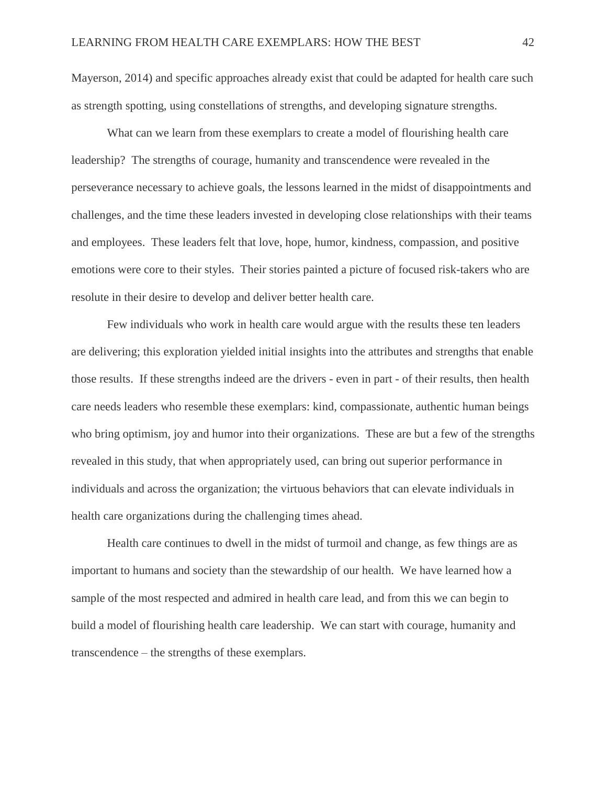Mayerson, 2014) and specific approaches already exist that could be adapted for health care such as strength spotting, using constellations of strengths, and developing signature strengths.

What can we learn from these exemplars to create a model of flourishing health care leadership? The strengths of courage, humanity and transcendence were revealed in the perseverance necessary to achieve goals, the lessons learned in the midst of disappointments and challenges, and the time these leaders invested in developing close relationships with their teams and employees. These leaders felt that love, hope, humor, kindness, compassion, and positive emotions were core to their styles. Their stories painted a picture of focused risk-takers who are resolute in their desire to develop and deliver better health care.

Few individuals who work in health care would argue with the results these ten leaders are delivering; this exploration yielded initial insights into the attributes and strengths that enable those results. If these strengths indeed are the drivers - even in part - of their results, then health care needs leaders who resemble these exemplars: kind, compassionate, authentic human beings who bring optimism, joy and humor into their organizations. These are but a few of the strengths revealed in this study, that when appropriately used, can bring out superior performance in individuals and across the organization; the virtuous behaviors that can elevate individuals in health care organizations during the challenging times ahead.

Health care continues to dwell in the midst of turmoil and change, as few things are as important to humans and society than the stewardship of our health. We have learned how a sample of the most respected and admired in health care lead, and from this we can begin to build a model of flourishing health care leadership. We can start with courage, humanity and transcendence – the strengths of these exemplars.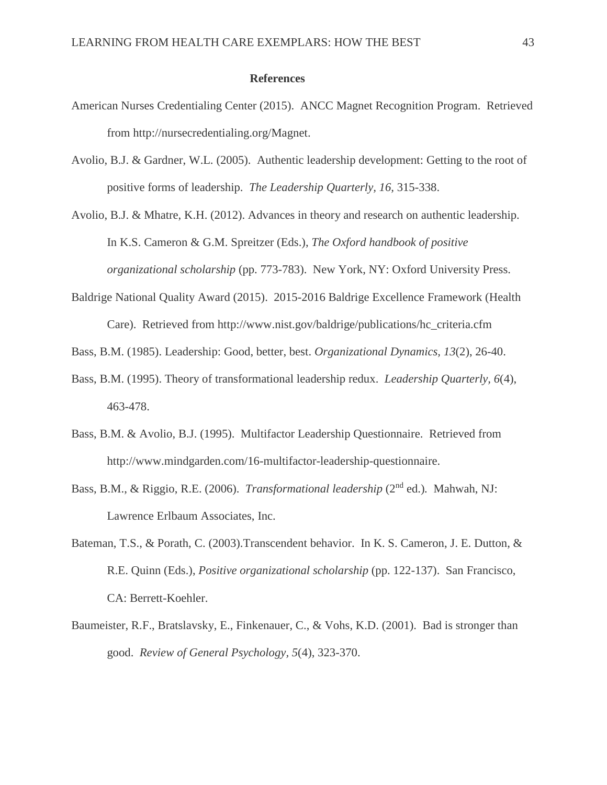#### **References**

- American Nurses Credentialing Center (2015). ANCC Magnet Recognition Program. Retrieved from http://nursecredentialing.org/Magnet.
- Avolio, B.J. & Gardner, W.L. (2005). Authentic leadership development: Getting to the root of positive forms of leadership. *The Leadership Quarterly, 16,* 315-338.

Avolio, B.J. & Mhatre, K.H. (2012). Advances in theory and research on authentic leadership. In K.S. Cameron & G.M. Spreitzer (Eds.), *The Oxford handbook of positive organizational scholarship* (pp. 773-783). New York, NY: Oxford University Press.

- Baldrige National Quality Award (2015). 2015-2016 Baldrige Excellence Framework (Health Care). Retrieved from http://www.nist.gov/baldrige/publications/hc\_criteria.cfm
- Bass, B.M. (1985). Leadership: Good, better, best. *Organizational Dynamics, 13*(2), 26-40.
- Bass, B.M. (1995). Theory of transformational leadership redux. *Leadership Quarterly, 6*(4), 463-478.
- Bass, B.M. & Avolio, B.J. (1995). Multifactor Leadership Questionnaire. Retrieved from http://www.mindgarden.com/16-multifactor-leadership-questionnaire.
- Bass, B.M., & Riggio, R.E. (2006). *Transformational leadership* (2nd ed.)*.* Mahwah, NJ: Lawrence Erlbaum Associates, Inc.
- Bateman, T.S., & Porath, C. (2003).Transcendent behavior. In K. S. Cameron, J. E. Dutton, & R.E. Quinn (Eds.), *Positive organizational scholarship* (pp. 122-137). San Francisco, CA: Berrett-Koehler.
- Baumeister, R.F., Bratslavsky, E., Finkenauer, C., & Vohs, K.D. (2001). Bad is stronger than good. *Review of General Psychology, 5*(4), 323-370.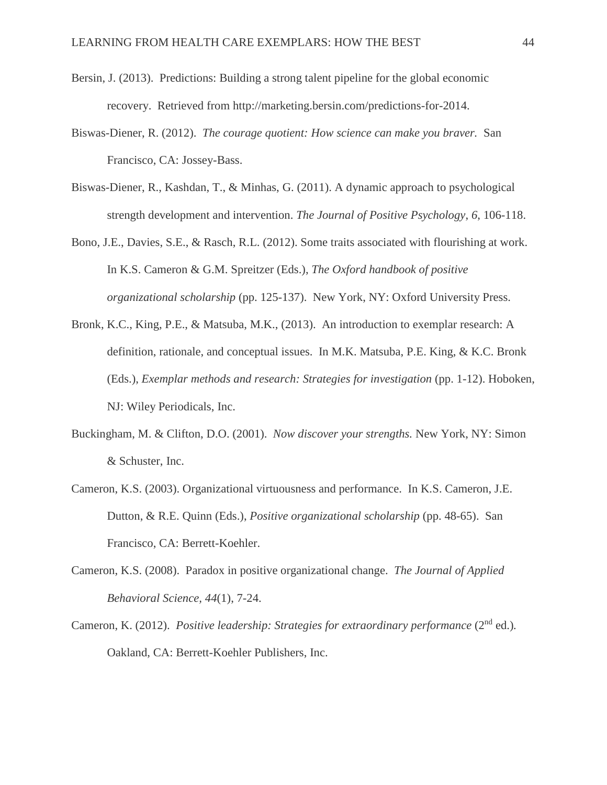- Bersin, J. (2013). Predictions: Building a strong talent pipeline for the global economic recovery. Retrieved from http://marketing.bersin.com/predictions-for-2014.
- Biswas-Diener, R. (2012). *The courage quotient: How science can make you braver.* San Francisco, CA: Jossey-Bass.
- Biswas-Diener, R., Kashdan, T., & Minhas, G. (2011). A dynamic approach to psychological strength development and intervention. *The Journal of Positive Psychology*, *6*, 106-118.
- Bono, J.E., Davies, S.E., & Rasch, R.L. (2012). Some traits associated with flourishing at work. In K.S. Cameron & G.M. Spreitzer (Eds.), *The Oxford handbook of positive organizational scholarship* (pp. 125-137). New York, NY: Oxford University Press.
- Bronk, K.C., King, P.E., & Matsuba, M.K., (2013). An introduction to exemplar research: A definition, rationale, and conceptual issues. In M.K. Matsuba, P.E. King, & K.C. Bronk (Eds.), *Exemplar methods and research: Strategies for investigation* (pp. 1-12). Hoboken, NJ: Wiley Periodicals, Inc.
- Buckingham, M. & Clifton, D.O. (2001). *Now discover your strengths.* New York, NY: Simon & Schuster, Inc.
- Cameron, K.S. (2003). Organizational virtuousness and performance. In K.S. Cameron, J.E. Dutton, & R.E. Quinn (Eds.), *Positive organizational scholarship* (pp. 48-65). San Francisco, CA: Berrett-Koehler.
- Cameron, K.S. (2008). Paradox in positive organizational change. *The Journal of Applied Behavioral Science, 44*(1), 7-24.
- Cameron, K. (2012). *Positive leadership: Strategies for extraordinary performance* (2nd ed.)*.* Oakland, CA: Berrett-Koehler Publishers, Inc.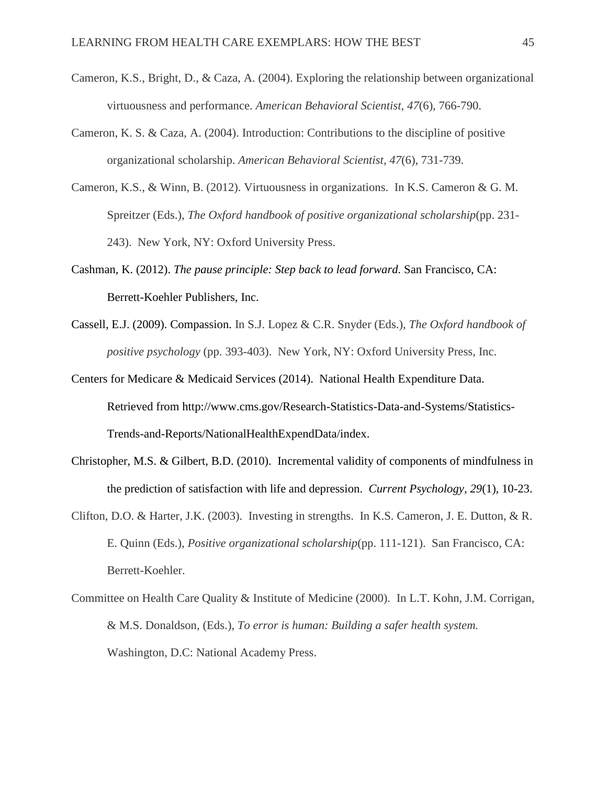- Cameron, K.S., Bright, D., & Caza, A. (2004). Exploring the relationship between organizational virtuousness and performance. *American Behavioral Scientist, 47*(6), 766-790.
- Cameron, K. S. & Caza, A. (2004). Introduction: Contributions to the discipline of positive organizational scholarship. *American Behavioral Scientist, 47*(6), 731-739.
- Cameron, K.S., & Winn, B. (2012). Virtuousness in organizations. In K.S. Cameron & G. M. Spreitzer (Eds.), *The Oxford handbook of positive organizational scholarship*(pp. 231- 243). New York, NY: Oxford University Press.
- Cashman, K. (2012). *The pause principle: Step back to lead forward.* San Francisco, CA: Berrett-Koehler Publishers, Inc.
- Cassell, E.J. (2009). Compassion. In S.J. Lopez & C.R. Snyder (Eds.), *The Oxford handbook of positive psychology* (pp. 393-403). New York, NY: Oxford University Press, Inc.
- Centers for Medicare & Medicaid Services (2014). National Health Expenditure Data. Retrieved from http://www.cms.gov/Research-Statistics-Data-and-Systems/Statistics-Trends-and-Reports/NationalHealthExpendData/index.
- Christopher, M.S. & Gilbert, B.D. (2010). Incremental validity of components of mindfulness in the prediction of satisfaction with life and depression. *Current Psychology, 29*(1), 10-23.
- Clifton, D.O. & Harter, J.K. (2003). Investing in strengths. In K.S. Cameron, J. E. Dutton, & R. E. Quinn (Eds.), *Positive organizational scholarship*(pp. 111-121). San Francisco, CA: Berrett-Koehler.
- Committee on Health Care Quality & Institute of Medicine (2000). In L.T. Kohn, J.M. Corrigan, & M.S. Donaldson, (Eds.), *To error is human: Building a safer health system.* Washington, D.C: National Academy Press.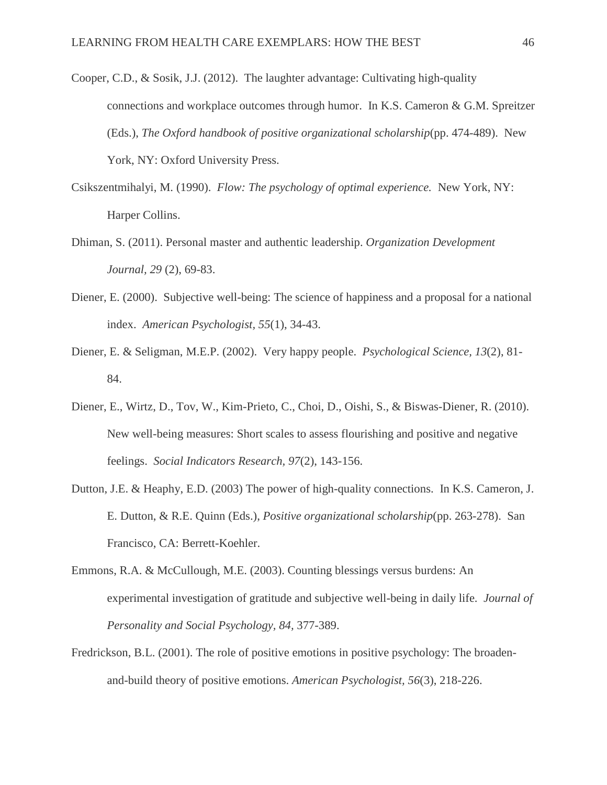- Cooper, C.D., & Sosik, J.J. (2012). The laughter advantage: Cultivating high-quality connections and workplace outcomes through humor. In K.S. Cameron & G.M. Spreitzer (Eds.), *The Oxford handbook of positive organizational scholarship*(pp. 474-489). New York, NY: Oxford University Press.
- Csikszentmihalyi, M. (1990). *Flow: The psychology of optimal experience.* New York, NY: Harper Collins.
- Dhiman, S. (2011). Personal master and authentic leadership. *Organization Development Journal, 29* (2), 69-83.
- Diener, E. (2000). Subjective well-being: The science of happiness and a proposal for a national index. *American Psychologist, 55*(1), 34-43.
- Diener, E. & Seligman, M.E.P. (2002). Very happy people. *Psychological Science, 13*(2), 81- 84.
- Diener, E., Wirtz, D., Tov, W., Kim-Prieto, C., Choi, D., Oishi, S., & Biswas-Diener, R. (2010). New well-being measures: Short scales to assess flourishing and positive and negative feelings. *Social Indicators Research, 97*(2), 143-156.
- Dutton, J.E. & Heaphy, E.D. (2003) The power of high-quality connections. In K.S. Cameron, J. E. Dutton, & R.E. Quinn (Eds.), *Positive organizational scholarship*(pp. 263-278). San Francisco, CA: Berrett-Koehler.
- Emmons, R.A. & McCullough, M.E. (2003). Counting blessings versus burdens: An experimental investigation of gratitude and subjective well-being in daily life. *Journal of Personality and Social Psychology, 84,* 377-389.
- Fredrickson, B.L. (2001). The role of positive emotions in positive psychology: The broadenand-build theory of positive emotions. *American Psychologist, 56*(3), 218-226.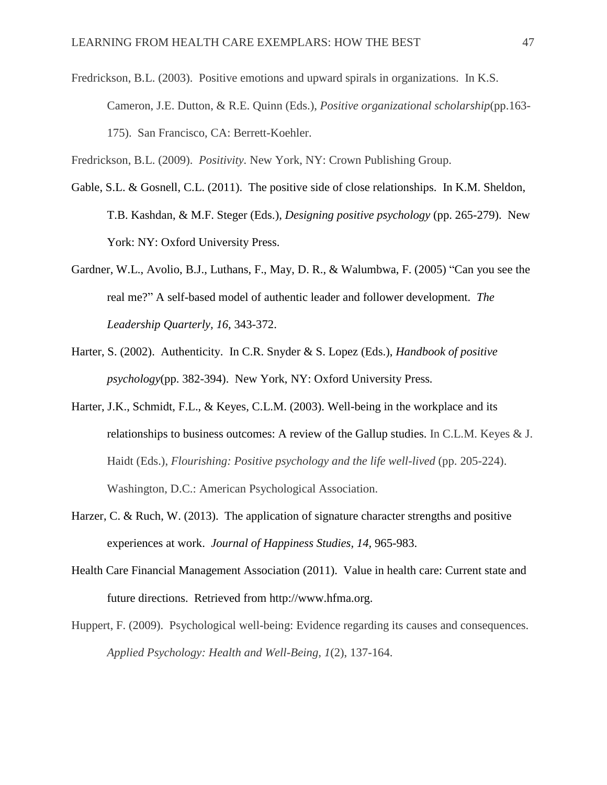Fredrickson, B.L. (2003). Positive emotions and upward spirals in organizations. In K.S. Cameron, J.E. Dutton, & R.E. Quinn (Eds.), *Positive organizational scholarship*(pp.163- 175). San Francisco, CA: Berrett-Koehler.

Fredrickson, B.L. (2009). *Positivity.* New York, NY: Crown Publishing Group.

- Gable, S.L. & Gosnell, C.L. (2011). The positive side of close relationships. In K.M. Sheldon, T.B. Kashdan, & M.F. Steger (Eds.), *Designing positive psychology* (pp. 265-279). New York: NY: Oxford University Press.
- Gardner, W.L., Avolio, B.J., Luthans, F., May, D. R., & Walumbwa, F. (2005) "Can you see the real me?" A self-based model of authentic leader and follower development. *The Leadership Quarterly, 16,* 343-372.
- Harter, S. (2002). Authenticity. In C.R. Snyder & S. Lopez (Eds.), *Handbook of positive psychology*(pp. 382-394). New York, NY: Oxford University Press*.*
- Harter, J.K., Schmidt, F.L., & Keyes, C.L.M. (2003). Well-being in the workplace and its relationships to business outcomes: A review of the Gallup studies. In C.L.M. Keyes & J. Haidt (Eds.), *Flourishing: Positive psychology and the life well-lived* (pp. 205-224). Washington, D.C.: American Psychological Association.
- Harzer, C. & Ruch, W. (2013). The application of signature character strengths and positive experiences at work. *Journal of Happiness Studies, 14,* 965-983.
- Health Care Financial Management Association (2011). Value in health care: Current state and future directions. Retrieved from http://www.hfma.org.
- Huppert, F. (2009). Psychological well-being: Evidence regarding its causes and consequences. *Applied Psychology: Health and Well-Being, 1*(2), 137-164.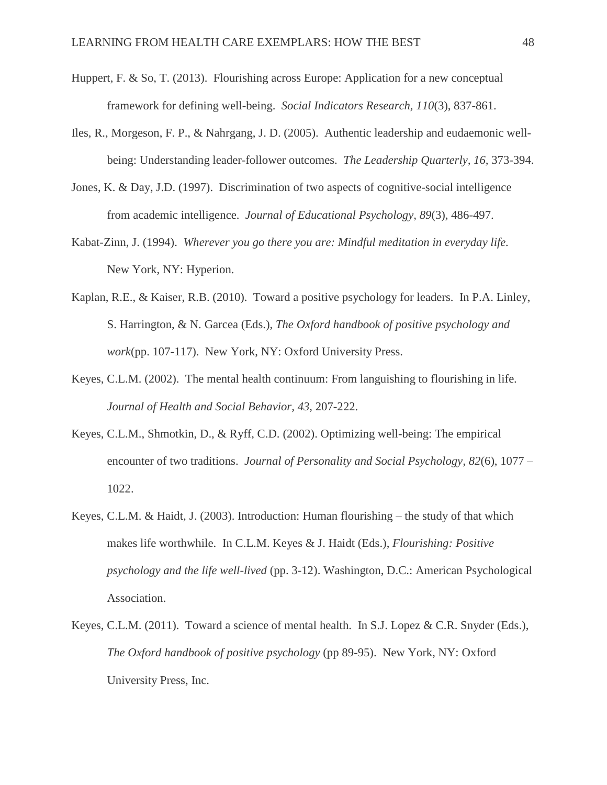- Huppert, F. & So, T. (2013). Flourishing across Europe: Application for a new conceptual framework for defining well-being. *Social Indicators Research, 110*(3), 837-861.
- Iles, R., Morgeson, F. P., & Nahrgang, J. D. (2005). Authentic leadership and eudaemonic wellbeing: Understanding leader-follower outcomes. *The Leadership Quarterly, 16,* 373-394.
- Jones, K. & Day, J.D. (1997). Discrimination of two aspects of cognitive-social intelligence from academic intelligence. *Journal of Educational Psychology, 89*(3), 486-497.
- Kabat-Zinn, J. (1994). *Wherever you go there you are: Mindful meditation in everyday life.*  New York, NY: Hyperion.
- Kaplan, R.E., & Kaiser, R.B. (2010). Toward a positive psychology for leaders. In P.A. Linley, S. Harrington, & N. Garcea (Eds.), *The Oxford handbook of positive psychology and work*(pp. 107-117). New York, NY: Oxford University Press.
- Keyes, C.L.M. (2002). The mental health continuum: From languishing to flourishing in life. *Journal of Health and Social Behavior, 43,* 207-222.
- Keyes, C.L.M., Shmotkin, D., & Ryff, C.D. (2002). Optimizing well-being: The empirical encounter of two traditions. *Journal of Personality and Social Psychology, 82*(6), 1077 – 1022.
- Keyes, C.L.M. & Haidt, J. (2003). Introduction: Human flourishing the study of that which makes life worthwhile. In C.L.M. Keyes & J. Haidt (Eds.), *Flourishing: Positive psychology and the life well-lived* (pp. 3-12). Washington, D.C.: American Psychological Association.
- Keyes, C.L.M. (2011). Toward a science of mental health. In S.J. Lopez & C.R. Snyder (Eds.), *The Oxford handbook of positive psychology* (pp 89-95). New York, NY: Oxford University Press, Inc.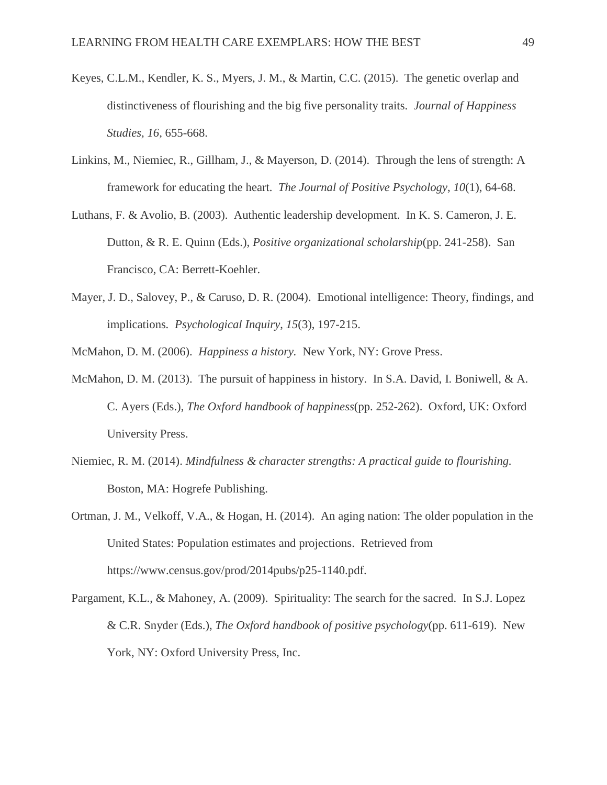- Keyes, C.L.M., Kendler, K. S., Myers, J. M., & Martin, C.C. (2015). The genetic overlap and distinctiveness of flourishing and the big five personality traits. *Journal of Happiness Studies, 16,* 655-668.
- Linkins, M., Niemiec, R., Gillham, J., & Mayerson, D. (2014). Through the lens of strength: A framework for educating the heart. *The Journal of Positive Psychology*, *10*(1), 64-68.
- Luthans, F. & Avolio, B. (2003). Authentic leadership development. In K. S. Cameron, J. E. Dutton, & R. E. Quinn (Eds.), *Positive organizational scholarship*(pp. 241-258). San Francisco, CA: Berrett-Koehler.
- Mayer, J. D., Salovey, P., & Caruso, D. R. (2004). Emotional intelligence: Theory, findings, and implications*. Psychological Inquiry*, *15*(3), 197-215.

McMahon, D. M. (2006). *Happiness a history.* New York, NY: Grove Press.

- McMahon, D. M. (2013). The pursuit of happiness in history. In S.A. David, I. Boniwell, & A. C. Ayers (Eds.), *The Oxford handbook of happiness*(pp. 252-262). Oxford, UK: Oxford University Press.
- Niemiec, R. M. (2014). *Mindfulness & character strengths: A practical guide to flourishing.* Boston, MA: Hogrefe Publishing.
- Ortman, J. M., Velkoff, V.A., & Hogan, H. (2014). An aging nation: The older population in the United States: Population estimates and projections. Retrieved from https://www.census.gov/prod/2014pubs/p25-1140.pdf.
- Pargament, K.L., & Mahoney, A. (2009). Spirituality: The search for the sacred. In S.J. Lopez & C.R. Snyder (Eds.), *The Oxford handbook of positive psychology*(pp. 611-619). New York, NY: Oxford University Press, Inc.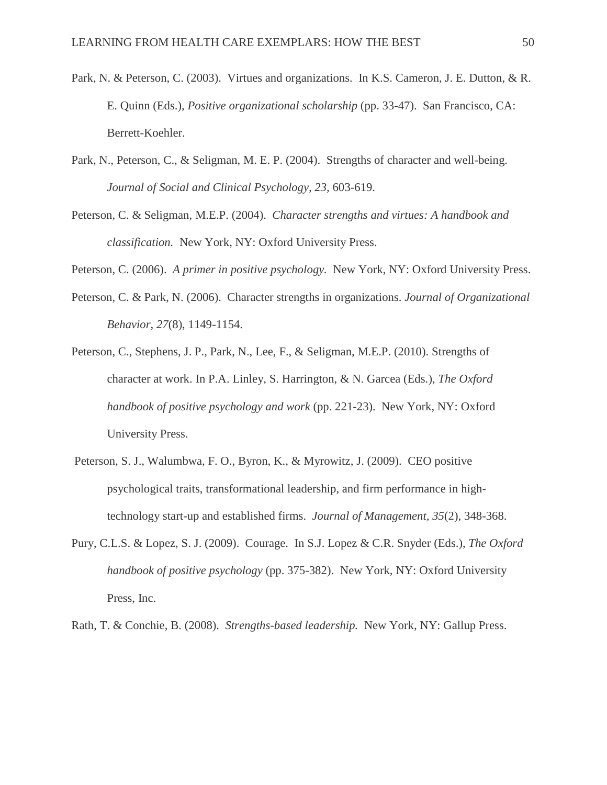- Park, N. & Peterson, C. (2003). Virtues and organizations. In K.S. Cameron, J. E. Dutton, & R. E. Quinn (Eds.), *Positive organizational scholarship* (pp. 33-47). San Francisco, CA: Berrett-Koehler.
- Park, N., Peterson, C., & Seligman, M. E. P. (2004). Strengths of character and well-being. *Journal of Social and Clinical Psychology, 23,* 603-619.
- Peterson, C. & Seligman, M.E.P. (2004). *Character strengths and virtues: A handbook and classification.* New York, NY: Oxford University Press.

Peterson, C. (2006). *A primer in positive psychology.* New York, NY: Oxford University Press.

- Peterson, C. & Park, N. (2006). Character strengths in organizations. *Journal of Organizational Behavior, 27*(8), 1149-1154.
- Peterson, C., Stephens, J. P., Park, N., Lee, F., & Seligman, M.E.P. (2010). Strengths of character at work. In P.A. Linley, S. Harrington, & N. Garcea (Eds.), *The Oxford handbook of positive psychology and work* (pp. 221-23). New York, NY: Oxford University Press.
- Peterson, S. J., Walumbwa, F. O., Byron, K., & Myrowitz, J. (2009). CEO positive psychological traits, transformational leadership, and firm performance in hightechnology start-up and established firms. *Journal of Management, 35*(2), 348-368.
- Pury, C.L.S. & Lopez, S. J. (2009). Courage. In S.J. Lopez & C.R. Snyder (Eds.), *The Oxford handbook of positive psychology* (pp. 375-382). New York, NY: Oxford University Press, Inc.

Rath, T. & Conchie, B. (2008). *Strengths-based leadership.* New York, NY: Gallup Press.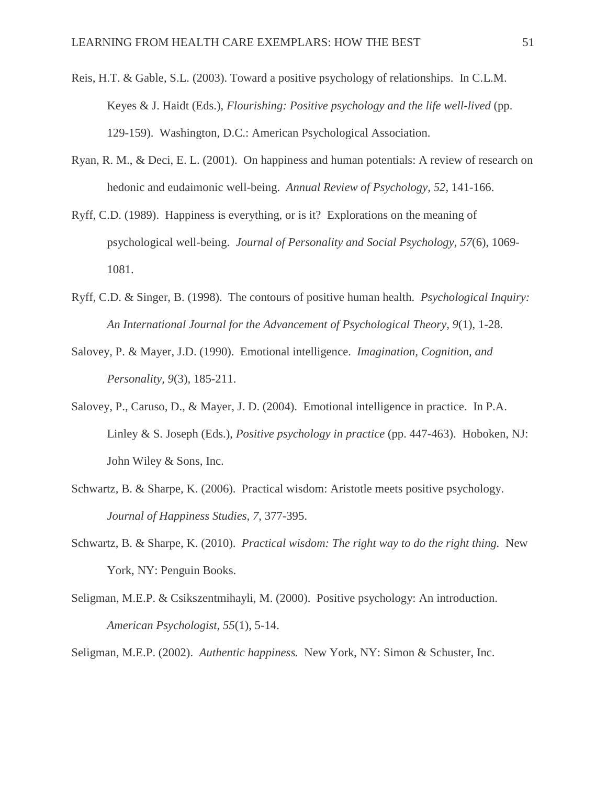- Reis, H.T. & Gable, S.L. (2003). Toward a positive psychology of relationships. In C.L.M. Keyes & J. Haidt (Eds.), *Flourishing: Positive psychology and the life well-lived* (pp. 129-159). Washington, D.C.: American Psychological Association.
- Ryan, R. M., & Deci, E. L. (2001). On happiness and human potentials: A review of research on hedonic and eudaimonic well-being. *Annual Review of Psychology, 52,* 141-166.
- Ryff, C.D. (1989). Happiness is everything, or is it? Explorations on the meaning of psychological well-being. *Journal of Personality and Social Psychology, 57*(6), 1069- 1081.
- Ryff, C.D. & Singer, B. (1998). The contours of positive human health. *Psychological Inquiry: An International Journal for the Advancement of Psychological Theory, 9*(1), 1-28.
- Salovey, P. & Mayer, J.D. (1990). Emotional intelligence. *Imagination, Cognition, and Personality, 9*(3), 185-211.
- Salovey, P., Caruso, D., & Mayer, J. D. (2004). Emotional intelligence in practice. In P.A. Linley & S. Joseph (Eds.), *Positive psychology in practice* (pp. 447-463). Hoboken, NJ: John Wiley & Sons, Inc.
- Schwartz, B. & Sharpe, K. (2006). Practical wisdom: Aristotle meets positive psychology. *Journal of Happiness Studies, 7,* 377-395.
- Schwartz, B. & Sharpe, K. (2010). *Practical wisdom: The right way to do the right thing.* New York, NY: Penguin Books.
- Seligman, M.E.P. & Csikszentmihayli, M. (2000). Positive psychology: An introduction. *American Psychologist, 55*(1), 5-14.

Seligman, M.E.P. (2002). *Authentic happiness.* New York, NY: Simon & Schuster, Inc.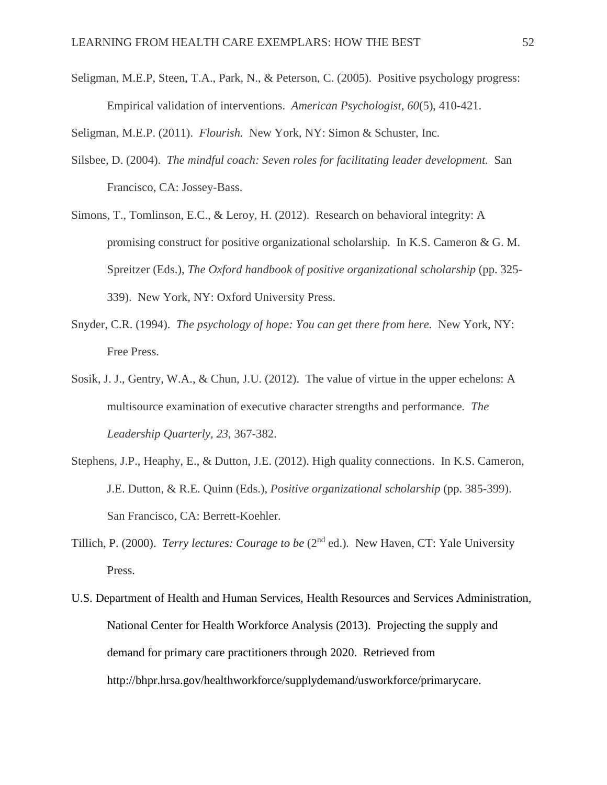Seligman, M.E.P, Steen, T.A., Park, N., & Peterson, C. (2005). Positive psychology progress: Empirical validation of interventions. *American Psychologist, 60*(5), 410-421.

Seligman, M.E.P. (2011). *Flourish.* New York, NY: Simon & Schuster, Inc.

- Silsbee, D. (2004). *The mindful coach: Seven roles for facilitating leader development.* San Francisco, CA: Jossey-Bass.
- Simons, T., Tomlinson, E.C., & Leroy, H. (2012). Research on behavioral integrity: A promising construct for positive organizational scholarship. In K.S. Cameron & G. M. Spreitzer (Eds.), *The Oxford handbook of positive organizational scholarship* (pp. 325- 339). New York, NY: Oxford University Press.
- Snyder, C.R. (1994). *The psychology of hope: You can get there from here.* New York, NY: Free Press.
- Sosik, J. J., Gentry, W.A., & Chun, J.U. (2012). The value of virtue in the upper echelons: A multisource examination of executive character strengths and performance*. The Leadership Quarterly, 23,* 367-382.
- Stephens, J.P., Heaphy, E., & Dutton, J.E. (2012). High quality connections. In K.S. Cameron, J.E. Dutton, & R.E. Quinn (Eds.), *Positive organizational scholarship* (pp. 385-399). San Francisco, CA: Berrett-Koehler.
- Tillich, P. (2000). *Terry lectures: Courage to be* (2nd ed.)*.* New Haven, CT: Yale University Press.
- U.S. Department of Health and Human Services, Health Resources and Services Administration, National Center for Health Workforce Analysis (2013). Projecting the supply and demand for primary care practitioners through 2020. Retrieved from http://bhpr.hrsa.gov/healthworkforce/supplydemand/usworkforce/primarycare.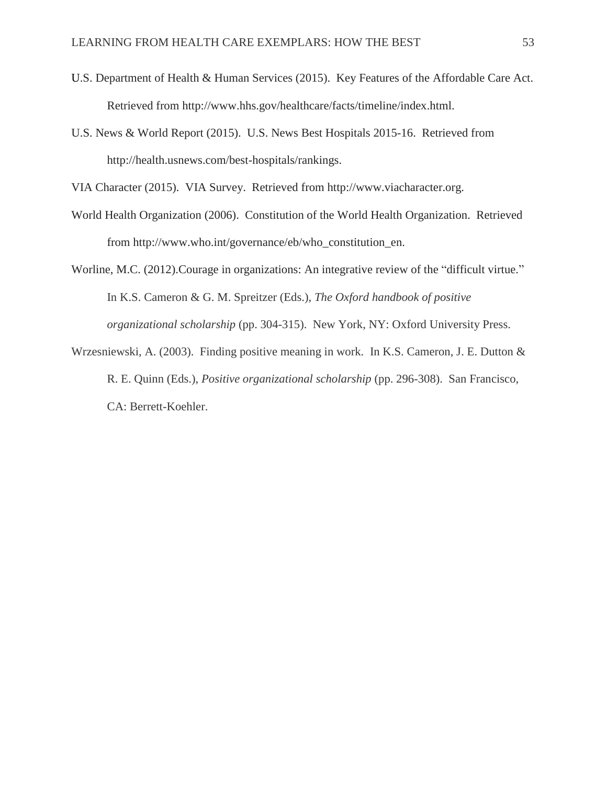- U.S. Department of Health & Human Services (2015). Key Features of the Affordable Care Act. Retrieved from http://www.hhs.gov/healthcare/facts/timeline/index.html.
- U.S. News & World Report (2015). U.S. News Best Hospitals 2015-16. Retrieved from http://health.usnews.com/best-hospitals/rankings.

VIA Character (2015). VIA Survey. Retrieved from http://www.viacharacter.org.

- World Health Organization (2006). Constitution of the World Health Organization. Retrieved from http://www.who.int/governance/eb/who\_constitution\_en.
- Worline, M.C. (2012).Courage in organizations: An integrative review of the "difficult virtue." In K.S. Cameron & G. M. Spreitzer (Eds.), *The Oxford handbook of positive organizational scholarship* (pp. 304-315). New York, NY: Oxford University Press.
- Wrzesniewski, A. (2003). Finding positive meaning in work. In K.S. Cameron, J. E. Dutton & R. E. Quinn (Eds.), *Positive organizational scholarship* (pp. 296-308). San Francisco, CA: Berrett-Koehler.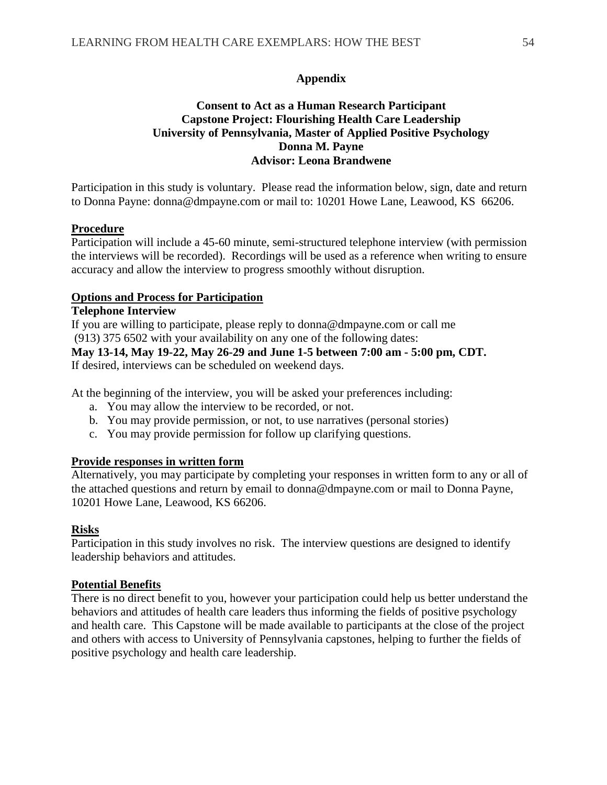### **Appendix**

### **Consent to Act as a Human Research Participant Capstone Project: Flourishing Health Care Leadership University of Pennsylvania, Master of Applied Positive Psychology Donna M. Payne Advisor: Leona Brandwene**

Participation in this study is voluntary. Please read the information below, sign, date and return to Donna Payne: donna@dmpayne.com or mail to: 10201 Howe Lane, Leawood, KS 66206.

### **Procedure**

Participation will include a 45-60 minute, semi-structured telephone interview (with permission the interviews will be recorded). Recordings will be used as a reference when writing to ensure accuracy and allow the interview to progress smoothly without disruption.

#### **Options and Process for Participation**

### **Telephone Interview**

If you are willing to participate, please reply to donna@dmpayne.com or call me (913) 375 6502 with your availability on any one of the following dates: **May 13-14, May 19-22, May 26-29 and June 1-5 between 7:00 am - 5:00 pm, CDT.**

If desired, interviews can be scheduled on weekend days.

At the beginning of the interview, you will be asked your preferences including:

- a. You may allow the interview to be recorded, or not.
- b. You may provide permission, or not, to use narratives (personal stories)
- c. You may provide permission for follow up clarifying questions.

### **Provide responses in written form**

Alternatively, you may participate by completing your responses in written form to any or all of the attached questions and return by email to donna@dmpayne.com or mail to Donna Payne, 10201 Howe Lane, Leawood, KS 66206.

#### **Risks**

Participation in this study involves no risk. The interview questions are designed to identify leadership behaviors and attitudes.

#### **Potential Benefits**

There is no direct benefit to you, however your participation could help us better understand the behaviors and attitudes of health care leaders thus informing the fields of positive psychology and health care. This Capstone will be made available to participants at the close of the project and others with access to University of Pennsylvania capstones, helping to further the fields of positive psychology and health care leadership.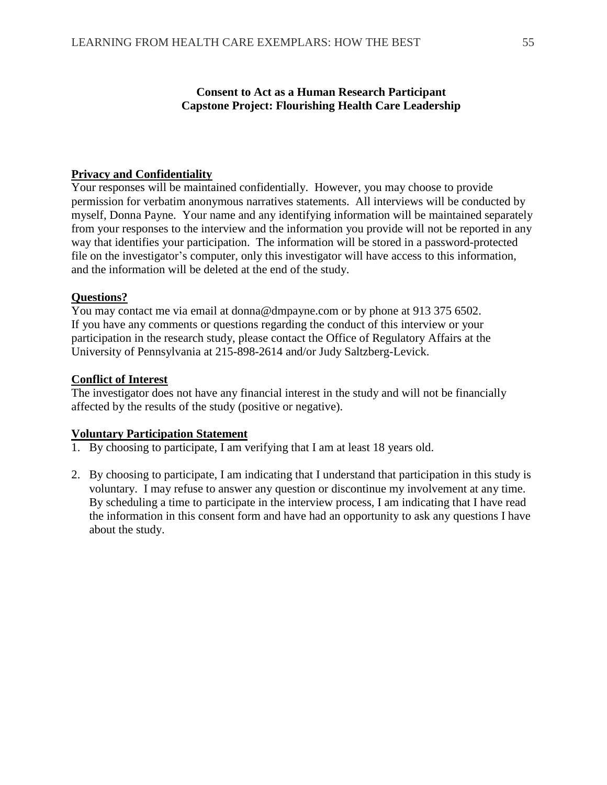### **Consent to Act as a Human Research Participant Capstone Project: Flourishing Health Care Leadership**

### **Privacy and Confidentiality**

Your responses will be maintained confidentially. However, you may choose to provide permission for verbatim anonymous narratives statements. All interviews will be conducted by myself, Donna Payne. Your name and any identifying information will be maintained separately from your responses to the interview and the information you provide will not be reported in any way that identifies your participation. The information will be stored in a password-protected file on the investigator's computer, only this investigator will have access to this information, and the information will be deleted at the end of the study.

### **Questions?**

You may contact me via email at donna@dmpayne.com or by phone at 913 375 6502. If you have any comments or questions regarding the conduct of this interview or your participation in the research study, please contact the Office of Regulatory Affairs at the University of Pennsylvania at 215-898-2614 and/or Judy Saltzberg-Levick.

### **Conflict of Interest**

The investigator does not have any financial interest in the study and will not be financially affected by the results of the study (positive or negative).

### **Voluntary Participation Statement**

- 1. By choosing to participate, I am verifying that I am at least 18 years old.
- 2. By choosing to participate, I am indicating that I understand that participation in this study is voluntary. I may refuse to answer any question or discontinue my involvement at any time. By scheduling a time to participate in the interview process, I am indicating that I have read the information in this consent form and have had an opportunity to ask any questions I have about the study.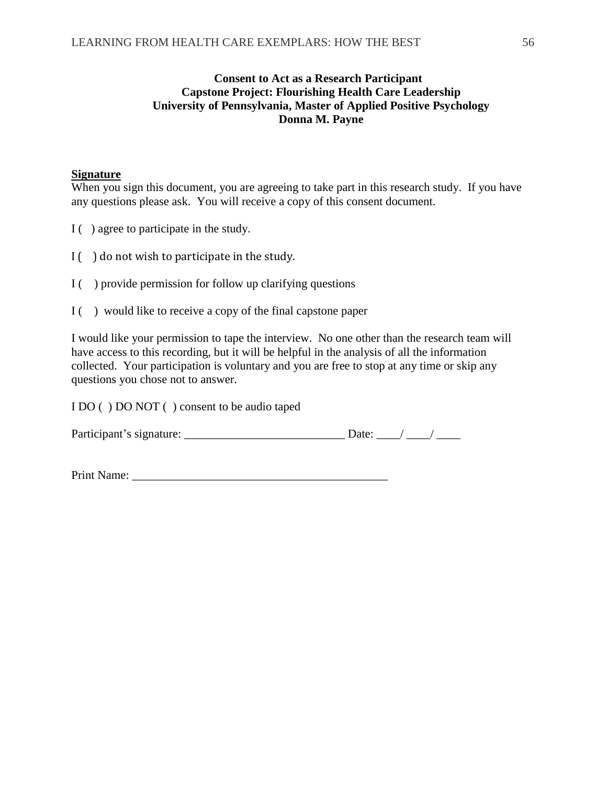### **Consent to Act as a Research Participant Capstone Project: Flourishing Health Care Leadership University of Pennsylvania, Master of Applied Positive Psychology Donna M. Payne**

### **Signature**

When you sign this document, you are agreeing to take part in this research study. If you have any questions please ask. You will receive a copy of this consent document.

- I ( ) agree to participate in the study.
- $I(\ )$  do not wish to participate in the study.
- $I($ ) provide permission for follow up clarifying questions
- I ( ) would like to receive a copy of the final capstone paper

I would like your permission to tape the interview. No one other than the research team will have access to this recording, but it will be helpful in the analysis of all the information collected. Your participation is voluntary and you are free to stop at any time or skip any questions you chose not to answer.

I DO ( ) DO NOT ( ) consent to be audio taped

| Participant's signature: |  |  |
|--------------------------|--|--|
|                          |  |  |
|                          |  |  |

Print Name: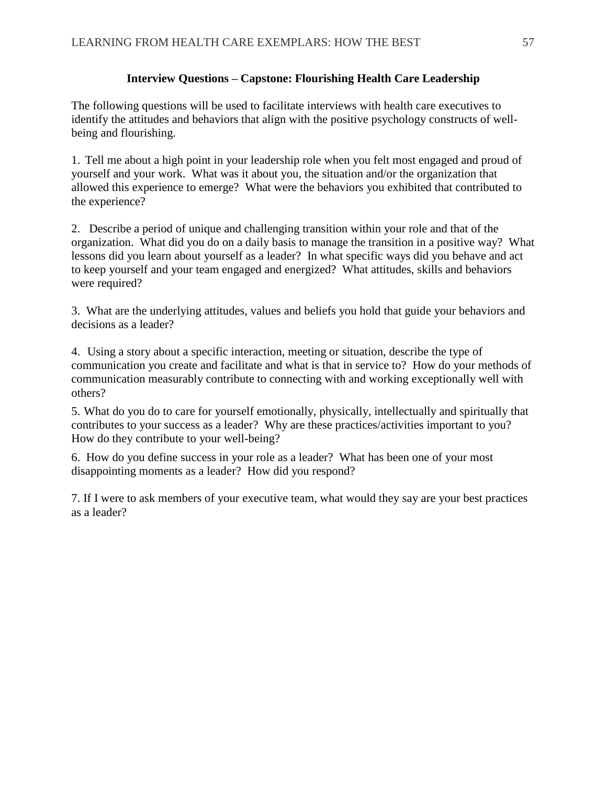### **Interview Questions – Capstone: Flourishing Health Care Leadership**

The following questions will be used to facilitate interviews with health care executives to identify the attitudes and behaviors that align with the positive psychology constructs of wellbeing and flourishing.

1. Tell me about a high point in your leadership role when you felt most engaged and proud of yourself and your work. What was it about you, the situation and/or the organization that allowed this experience to emerge? What were the behaviors you exhibited that contributed to the experience?

2. Describe a period of unique and challenging transition within your role and that of the organization. What did you do on a daily basis to manage the transition in a positive way? What lessons did you learn about yourself as a leader? In what specific ways did you behave and act to keep yourself and your team engaged and energized? What attitudes, skills and behaviors were required?

3. What are the underlying attitudes, values and beliefs you hold that guide your behaviors and decisions as a leader?

4. Using a story about a specific interaction, meeting or situation, describe the type of communication you create and facilitate and what is that in service to? How do your methods of communication measurably contribute to connecting with and working exceptionally well with others?

5. What do you do to care for yourself emotionally, physically, intellectually and spiritually that contributes to your success as a leader? Why are these practices/activities important to you? How do they contribute to your well-being?

6. How do you define success in your role as a leader? What has been one of your most disappointing moments as a leader? How did you respond?

7. If I were to ask members of your executive team, what would they say are your best practices as a leader?